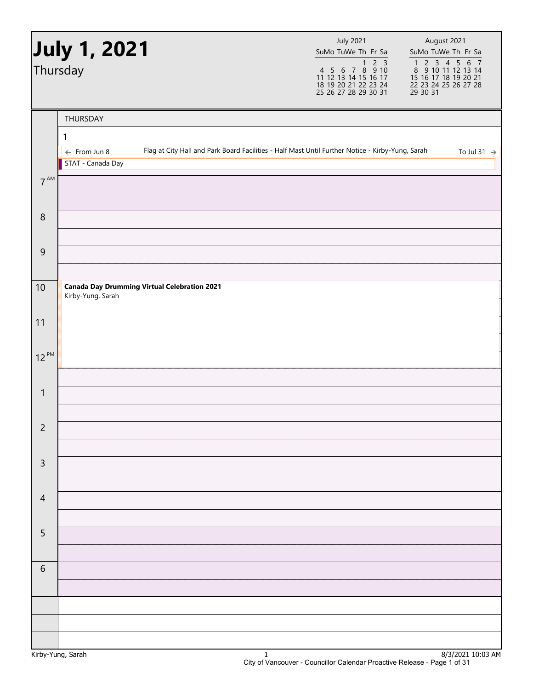|                | <b>July 1, 2021</b><br>Thursday                                                                                             | <b>July 2021</b><br>SuMo TuWe Th Fr Sa<br>2 <sup>3</sup><br>$\mathbf{1}$<br>4 5 6 7 8 9 10<br>11 12 13 14 15 16 17<br>18 19 20 21 22 23 24<br>25 26 27 28 29 30 31 | August 2021<br>SuMo TuWe Th Fr Sa<br>1 2 3 4 5 6 7<br>8 9 10 11 12 13 14<br>15 16 17 18 19 20 21<br>22 23 24 25 26 27 28<br>29 30 31 |
|----------------|-----------------------------------------------------------------------------------------------------------------------------|--------------------------------------------------------------------------------------------------------------------------------------------------------------------|--------------------------------------------------------------------------------------------------------------------------------------|
|                | THURSDAY                                                                                                                    |                                                                                                                                                                    |                                                                                                                                      |
|                | 1                                                                                                                           |                                                                                                                                                                    |                                                                                                                                      |
|                | Flag at City Hall and Park Board Facilities - Half Mast Until Further Notice - Kirby-Yung, Sarah<br>$\leftarrow$ From Jun 8 |                                                                                                                                                                    | To Jul 31 $\rightarrow$                                                                                                              |
|                | STAT - Canada Day                                                                                                           |                                                                                                                                                                    |                                                                                                                                      |
| $7^{AM}$       |                                                                                                                             |                                                                                                                                                                    |                                                                                                                                      |
|                |                                                                                                                             |                                                                                                                                                                    |                                                                                                                                      |
| $\,8\,$        |                                                                                                                             |                                                                                                                                                                    |                                                                                                                                      |
|                |                                                                                                                             |                                                                                                                                                                    |                                                                                                                                      |
| $\overline{9}$ |                                                                                                                             |                                                                                                                                                                    |                                                                                                                                      |
|                |                                                                                                                             |                                                                                                                                                                    |                                                                                                                                      |
| 10             | <b>Canada Day Drumming Virtual Celebration 2021</b><br>Kirby-Yung, Sarah                                                    |                                                                                                                                                                    |                                                                                                                                      |
| 11             |                                                                                                                             |                                                                                                                                                                    |                                                                                                                                      |
| $12^{PM}$      |                                                                                                                             |                                                                                                                                                                    |                                                                                                                                      |
|                |                                                                                                                             |                                                                                                                                                                    |                                                                                                                                      |
| $\mathbf{1}$   |                                                                                                                             |                                                                                                                                                                    |                                                                                                                                      |
|                |                                                                                                                             |                                                                                                                                                                    |                                                                                                                                      |
| $\overline{c}$ |                                                                                                                             |                                                                                                                                                                    |                                                                                                                                      |
|                |                                                                                                                             |                                                                                                                                                                    |                                                                                                                                      |
| $\mathsf 3$    |                                                                                                                             |                                                                                                                                                                    |                                                                                                                                      |
|                |                                                                                                                             |                                                                                                                                                                    |                                                                                                                                      |
| $\overline{4}$ |                                                                                                                             |                                                                                                                                                                    |                                                                                                                                      |
|                |                                                                                                                             |                                                                                                                                                                    |                                                                                                                                      |
| 5              |                                                                                                                             |                                                                                                                                                                    |                                                                                                                                      |
|                |                                                                                                                             |                                                                                                                                                                    |                                                                                                                                      |
| $\sqrt{6}$     |                                                                                                                             |                                                                                                                                                                    |                                                                                                                                      |
|                |                                                                                                                             |                                                                                                                                                                    |                                                                                                                                      |
|                |                                                                                                                             |                                                                                                                                                                    |                                                                                                                                      |
|                |                                                                                                                             |                                                                                                                                                                    |                                                                                                                                      |
|                |                                                                                                                             |                                                                                                                                                                    |                                                                                                                                      |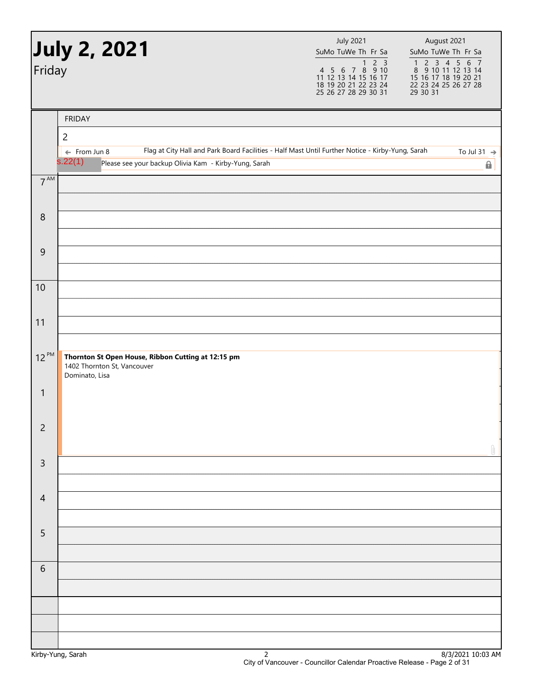| Friday          | July 2, 2021                                                                                                                                                                                    | <b>July 2021</b><br>SuMo TuWe Th Fr Sa<br>4 5 6 7 8 9 10<br>11 12 13 14 15 16 17<br>18 19 20 21 22 23 24<br>25 26 27 28 29 30 31 | August 2021<br>SuMo TuWe Th Fr Sa<br>$\begin{array}{cccccc}\n1 & 2 & 3 & 4 & 5 & 6 & 7 \\ 8 & 9 & 10 & 11 & 12 & 13 & 14\n\end{array}$<br>15 16 17 18 19 20 21<br>22 23 24 25 26 27 28<br>29 30 31 |
|-----------------|-------------------------------------------------------------------------------------------------------------------------------------------------------------------------------------------------|----------------------------------------------------------------------------------------------------------------------------------|----------------------------------------------------------------------------------------------------------------------------------------------------------------------------------------------------|
|                 | <b>FRIDAY</b><br>$\overline{2}$                                                                                                                                                                 |                                                                                                                                  |                                                                                                                                                                                                    |
|                 | Flag at City Hall and Park Board Facilities - Half Mast Until Further Notice - Kirby-Yung, Sarah<br>$\leftarrow$ From Jun 8<br>s.22(1)<br>Please see your backup Olivia Kam - Kirby-Yung, Sarah |                                                                                                                                  | To Jul 31 $\rightarrow$<br>0                                                                                                                                                                       |
| $7^{\text{AM}}$ |                                                                                                                                                                                                 |                                                                                                                                  |                                                                                                                                                                                                    |
| $\,8\,$         |                                                                                                                                                                                                 |                                                                                                                                  |                                                                                                                                                                                                    |
| $\overline{9}$  |                                                                                                                                                                                                 |                                                                                                                                  |                                                                                                                                                                                                    |
| 10              |                                                                                                                                                                                                 |                                                                                                                                  |                                                                                                                                                                                                    |
| 11              |                                                                                                                                                                                                 |                                                                                                                                  |                                                                                                                                                                                                    |
| $12^{PM}$       | Thornton St Open House, Ribbon Cutting at 12:15 pm<br>1402 Thornton St, Vancouver<br>Dominato, Lisa                                                                                             |                                                                                                                                  |                                                                                                                                                                                                    |
| 1               |                                                                                                                                                                                                 |                                                                                                                                  |                                                                                                                                                                                                    |
| $\overline{c}$  |                                                                                                                                                                                                 |                                                                                                                                  |                                                                                                                                                                                                    |
| $\mathsf 3$     |                                                                                                                                                                                                 |                                                                                                                                  |                                                                                                                                                                                                    |
| $\overline{4}$  |                                                                                                                                                                                                 |                                                                                                                                  |                                                                                                                                                                                                    |
| 5               |                                                                                                                                                                                                 |                                                                                                                                  |                                                                                                                                                                                                    |
| $\sqrt{6}$      |                                                                                                                                                                                                 |                                                                                                                                  |                                                                                                                                                                                                    |
|                 |                                                                                                                                                                                                 |                                                                                                                                  |                                                                                                                                                                                                    |
|                 |                                                                                                                                                                                                 |                                                                                                                                  |                                                                                                                                                                                                    |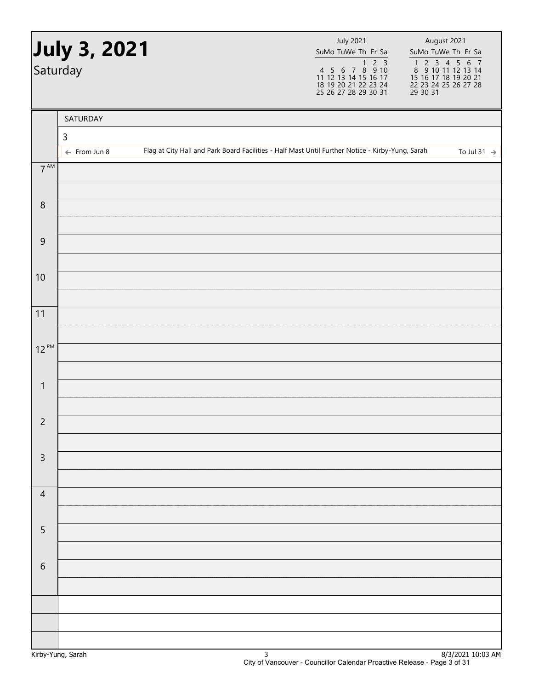|                 | July 3, 2021<br>Saturday | <b>July 2021</b><br>SuMo TuWe Th Fr Sa                                                           | August 2021<br>SuMo TuWe Th Fr Sa<br>1 2 3 4 5 6 7<br>8 9 10 11 12 13 14<br>15 16 17 18 19 20 21<br>22 23 24 25 26 27 28<br>29 30 31 |
|-----------------|--------------------------|--------------------------------------------------------------------------------------------------|--------------------------------------------------------------------------------------------------------------------------------------|
|                 | SATURDAY                 |                                                                                                  |                                                                                                                                      |
|                 | $\mathsf{3}$             |                                                                                                  |                                                                                                                                      |
|                 | $\leftarrow$ From Jun 8  | Flag at City Hall and Park Board Facilities - Half Mast Until Further Notice - Kirby-Yung, Sarah | To Jul 31 $\rightarrow$                                                                                                              |
| $7^{\text{AM}}$ |                          |                                                                                                  |                                                                                                                                      |
| $\, 8$          |                          |                                                                                                  |                                                                                                                                      |
| $\overline{9}$  |                          |                                                                                                  |                                                                                                                                      |
| 10              |                          |                                                                                                  |                                                                                                                                      |
| 11              |                          |                                                                                                  |                                                                                                                                      |
| $12^{PM}$       |                          |                                                                                                  |                                                                                                                                      |
| $\mathbf{1}$    |                          |                                                                                                  |                                                                                                                                      |
| $\overline{c}$  |                          |                                                                                                  |                                                                                                                                      |
| $\mathsf{3}$    |                          |                                                                                                  |                                                                                                                                      |
| $\overline{4}$  |                          |                                                                                                  |                                                                                                                                      |
| $\sqrt{5}$      |                          |                                                                                                  |                                                                                                                                      |
| $\,$ 6 $\,$     |                          |                                                                                                  |                                                                                                                                      |
|                 |                          |                                                                                                  |                                                                                                                                      |
|                 |                          |                                                                                                  |                                                                                                                                      |
|                 |                          |                                                                                                  |                                                                                                                                      |
|                 |                          |                                                                                                  |                                                                                                                                      |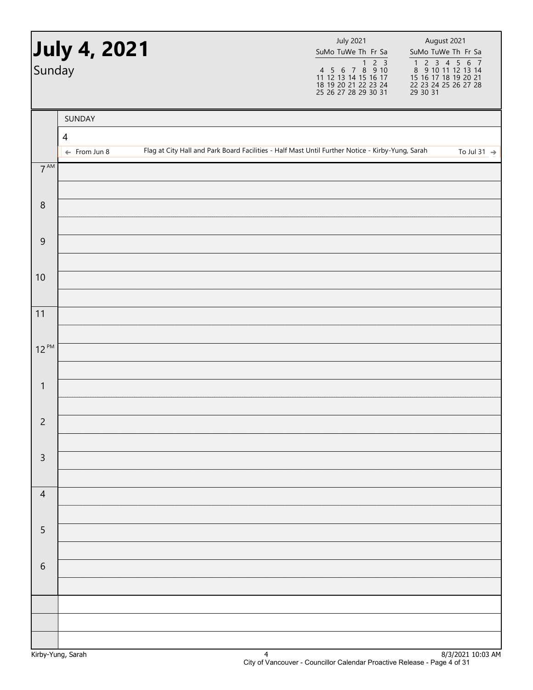| Sunday           | <b>July 4, 2021</b>     |  | <b>July 2021</b><br>SuMo TuWe Th Fr Sa                                                           | August 2021<br>SuMo TuWe Th Fr Sa<br>1 2 3 4 5 6 7<br>8 9 10 11 12 13 14<br>15 16 17 18 19 20 21<br>22 23 24 25 26 27 28<br>29 30 31 |
|------------------|-------------------------|--|--------------------------------------------------------------------------------------------------|--------------------------------------------------------------------------------------------------------------------------------------|
|                  | SUNDAY<br>4             |  |                                                                                                  |                                                                                                                                      |
|                  | $\leftarrow$ From Jun 8 |  | Flag at City Hall and Park Board Facilities - Half Mast Until Further Notice - Kirby-Yung, Sarah | To Jul 31 $\rightarrow$                                                                                                              |
| $7^{\text{AM}}$  |                         |  |                                                                                                  |                                                                                                                                      |
| $\boldsymbol{8}$ |                         |  |                                                                                                  |                                                                                                                                      |
| $\overline{9}$   |                         |  |                                                                                                  |                                                                                                                                      |
| 10               |                         |  |                                                                                                  |                                                                                                                                      |
| 11               |                         |  |                                                                                                  |                                                                                                                                      |
| $12^{PM}$        |                         |  |                                                                                                  |                                                                                                                                      |
|                  |                         |  |                                                                                                  |                                                                                                                                      |
| $\mathbf{1}$     |                         |  |                                                                                                  |                                                                                                                                      |
| $\overline{c}$   |                         |  |                                                                                                  |                                                                                                                                      |
| $\mathsf{3}$     |                         |  |                                                                                                  |                                                                                                                                      |
| $\overline{4}$   |                         |  |                                                                                                  |                                                                                                                                      |
| $\sqrt{5}$       |                         |  |                                                                                                  |                                                                                                                                      |
|                  |                         |  |                                                                                                  |                                                                                                                                      |
| 6                |                         |  |                                                                                                  |                                                                                                                                      |
|                  |                         |  |                                                                                                  |                                                                                                                                      |
|                  |                         |  |                                                                                                  |                                                                                                                                      |
|                  |                         |  |                                                                                                  |                                                                                                                                      |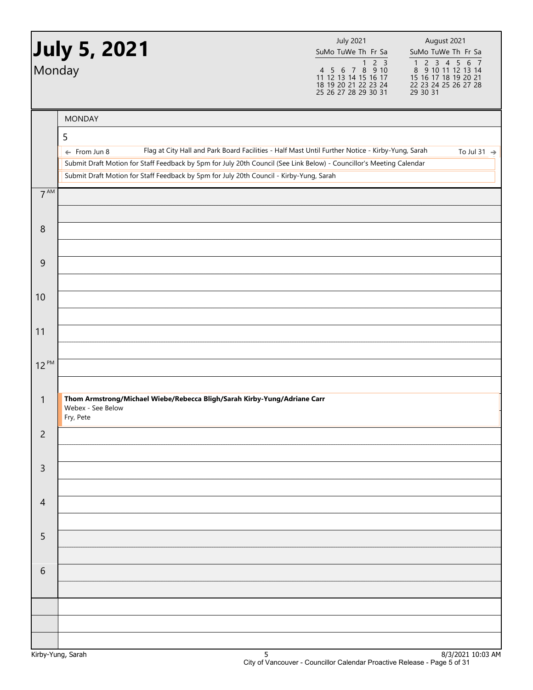| Monday         | July 5, 2021                                                                                                                                    | <b>July 2021</b><br>SuMo TuWe Th Fr Sa<br>2 <sub>3</sub><br>$\mathbf{1}$<br>4 5 6 7 8 9 10       | August 2021<br>SuMo TuWe Th Fr Sa<br>1 2 3 4 5 6<br>$\overline{7}$<br>8 9 10 11 12 13 14 |
|----------------|-------------------------------------------------------------------------------------------------------------------------------------------------|--------------------------------------------------------------------------------------------------|------------------------------------------------------------------------------------------|
|                |                                                                                                                                                 | 11 12 13 14 15 16 17<br>18 19 20 21 22 23 24<br>25 26 27 28 29 30 31                             | 15 16 17 18 19 20 21<br>22 23 24 25 26 27 28<br>29 30 31                                 |
|                | <b>MONDAY</b>                                                                                                                                   |                                                                                                  |                                                                                          |
|                | 5                                                                                                                                               |                                                                                                  |                                                                                          |
|                | $\leftarrow$ From Jun 8<br>Submit Draft Motion for Staff Feedback by 5pm for July 20th Council (See Link Below) - Councillor's Meeting Calendar | Flag at City Hall and Park Board Facilities - Half Mast Until Further Notice - Kirby-Yung, Sarah | To Jul 31 $\rightarrow$                                                                  |
|                | Submit Draft Motion for Staff Feedback by 5pm for July 20th Council - Kirby-Yung, Sarah                                                         |                                                                                                  |                                                                                          |
| $7^{AM}$       |                                                                                                                                                 |                                                                                                  |                                                                                          |
|                |                                                                                                                                                 |                                                                                                  |                                                                                          |
| 8              |                                                                                                                                                 |                                                                                                  |                                                                                          |
| 9              |                                                                                                                                                 |                                                                                                  |                                                                                          |
|                |                                                                                                                                                 |                                                                                                  |                                                                                          |
| 10             |                                                                                                                                                 |                                                                                                  |                                                                                          |
|                |                                                                                                                                                 |                                                                                                  |                                                                                          |
| 11             |                                                                                                                                                 |                                                                                                  |                                                                                          |
|                |                                                                                                                                                 |                                                                                                  |                                                                                          |
| $12^{PM}$      |                                                                                                                                                 |                                                                                                  |                                                                                          |
|                | Thom Armstrong/Michael Wiebe/Rebecca Bligh/Sarah Kirby-Yung/Adriane Carr                                                                        |                                                                                                  |                                                                                          |
| 1              | Webex - See Below<br>Fry, Pete                                                                                                                  |                                                                                                  |                                                                                          |
| $\overline{c}$ |                                                                                                                                                 |                                                                                                  |                                                                                          |
|                |                                                                                                                                                 |                                                                                                  |                                                                                          |
| $\mathsf 3$    |                                                                                                                                                 |                                                                                                  |                                                                                          |
| $\overline{4}$ |                                                                                                                                                 |                                                                                                  |                                                                                          |
|                |                                                                                                                                                 |                                                                                                  |                                                                                          |
| 5              |                                                                                                                                                 |                                                                                                  |                                                                                          |
|                |                                                                                                                                                 |                                                                                                  |                                                                                          |
| $\sqrt{6}$     |                                                                                                                                                 |                                                                                                  |                                                                                          |
|                |                                                                                                                                                 |                                                                                                  |                                                                                          |
|                |                                                                                                                                                 |                                                                                                  |                                                                                          |
|                |                                                                                                                                                 |                                                                                                  |                                                                                          |
|                |                                                                                                                                                 |                                                                                                  |                                                                                          |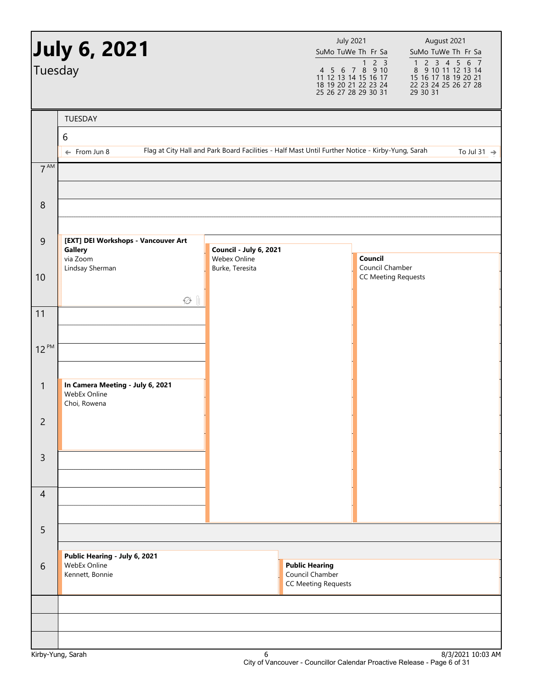|                 | <b>July 6, 2021</b>                                              |                                                                                                  | <b>July 2021</b><br>SuMo TuWe Th Fr Sa                                                 |                                               | August 2021<br>SuMo TuWe Th Fr Sa                        |                                                                                                   |
|-----------------|------------------------------------------------------------------|--------------------------------------------------------------------------------------------------|----------------------------------------------------------------------------------------|-----------------------------------------------|----------------------------------------------------------|---------------------------------------------------------------------------------------------------|
| Tuesday         |                                                                  |                                                                                                  | 4 5 6 7 8 9 10<br>11 12 13 14 15 16 17<br>18 19 20 21 22 23 24<br>25 26 27 28 29 30 31 | 2 <sup>3</sup><br>1                           | 15 16 17 18 19 20 21<br>22 23 24 25 26 27 28<br>29 30 31 | $\begin{array}{cccccc}\n1 & 2 & 3 & 4 & 5 & 6 & 7 \\ 8 & 9 & 10 & 11 & 12 & 13 & 14\n\end{array}$ |
|                 | TUESDAY                                                          |                                                                                                  |                                                                                        |                                               |                                                          |                                                                                                   |
|                 | $6\,$                                                            |                                                                                                  |                                                                                        |                                               |                                                          |                                                                                                   |
|                 | $\leftarrow$ From Jun 8                                          | Flag at City Hall and Park Board Facilities - Half Mast Until Further Notice - Kirby-Yung, Sarah |                                                                                        |                                               |                                                          | To Jul 31 $\rightarrow$                                                                           |
| 7 <sup>AM</sup> |                                                                  |                                                                                                  |                                                                                        |                                               |                                                          |                                                                                                   |
| 8               |                                                                  |                                                                                                  |                                                                                        |                                               |                                                          |                                                                                                   |
| 9               | [EXT] DEI Workshops - Vancouver Art                              |                                                                                                  |                                                                                        |                                               |                                                          |                                                                                                   |
|                 | <b>Gallery</b><br>via Zoom                                       | Council - July 6, 2021<br>Webex Online                                                           |                                                                                        | Council                                       |                                                          |                                                                                                   |
| 10              | Lindsay Sherman                                                  | Burke, Teresita                                                                                  |                                                                                        | Council Chamber<br><b>CC Meeting Requests</b> |                                                          |                                                                                                   |
|                 |                                                                  |                                                                                                  |                                                                                        |                                               |                                                          |                                                                                                   |
| 11              | $\varnothing$ $\parallel$                                        |                                                                                                  |                                                                                        |                                               |                                                          |                                                                                                   |
|                 |                                                                  |                                                                                                  |                                                                                        |                                               |                                                          |                                                                                                   |
| $12^{PM}$       |                                                                  |                                                                                                  |                                                                                        |                                               |                                                          |                                                                                                   |
|                 |                                                                  |                                                                                                  |                                                                                        |                                               |                                                          |                                                                                                   |
| $\mathbf{1}$    | In Camera Meeting - July 6, 2021<br>WebEx Online<br>Choi, Rowena |                                                                                                  |                                                                                        |                                               |                                                          |                                                                                                   |
| $\overline{c}$  |                                                                  |                                                                                                  |                                                                                        |                                               |                                                          |                                                                                                   |
| $\overline{3}$  |                                                                  |                                                                                                  |                                                                                        |                                               |                                                          |                                                                                                   |
| $\overline{4}$  |                                                                  |                                                                                                  |                                                                                        |                                               |                                                          |                                                                                                   |
| 5               |                                                                  |                                                                                                  |                                                                                        |                                               |                                                          |                                                                                                   |
|                 | Public Hearing - July 6, 2021                                    |                                                                                                  |                                                                                        |                                               |                                                          |                                                                                                   |
| 6               | WebEx Online<br>Kennett, Bonnie                                  |                                                                                                  | <b>Public Hearing</b><br>Council Chamber<br><b>CC Meeting Requests</b>                 |                                               |                                                          |                                                                                                   |
|                 |                                                                  |                                                                                                  |                                                                                        |                                               |                                                          |                                                                                                   |
|                 |                                                                  |                                                                                                  |                                                                                        |                                               |                                                          |                                                                                                   |
|                 |                                                                  |                                                                                                  |                                                                                        |                                               |                                                          |                                                                                                   |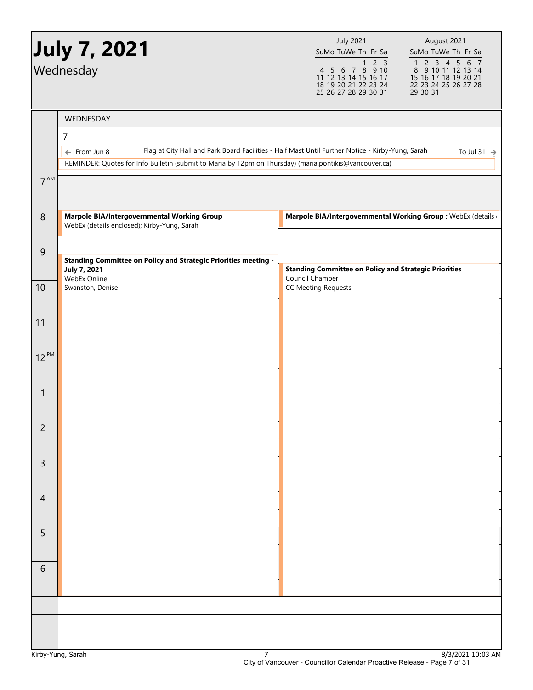|                 | <b>July 7, 2021</b><br>Wednesday                                                                       | <b>July 2021</b><br>August 2021<br>SuMo TuWe Th Fr Sa<br>SuMo TuWe Th Fr Sa<br>2 <sub>3</sub><br>1 2 3 4 5 6 7<br>8 9 10 11 12 13 14<br>$\mathbf{1}$<br>4 5 6 7 8 9 10<br>11 12 13 14 15 16 17<br>15 16 17 18 19 20 21 |
|-----------------|--------------------------------------------------------------------------------------------------------|------------------------------------------------------------------------------------------------------------------------------------------------------------------------------------------------------------------------|
|                 |                                                                                                        | 18 19 20 21 22 23 24<br>22 23 24 25 26 27 28<br>25 26 27 28 29 30 31<br>29 30 31                                                                                                                                       |
|                 | WEDNESDAY                                                                                              |                                                                                                                                                                                                                        |
|                 | $\overline{7}$                                                                                         |                                                                                                                                                                                                                        |
|                 | $\leftarrow$ From Jun 8                                                                                | Flag at City Hall and Park Board Facilities - Half Mast Until Further Notice - Kirby-Yung, Sarah<br>To Jul 31 $\rightarrow$                                                                                            |
|                 | REMINDER: Quotes for Info Bulletin (submit to Maria by 12pm on Thursday) (maria.pontikis@vancouver.ca) |                                                                                                                                                                                                                        |
| 7 <sup>AM</sup> |                                                                                                        |                                                                                                                                                                                                                        |
| $\,8\,$         | <b>Marpole BIA/Intergovernmental Working Group</b>                                                     | Marpole BIA/Intergovernmental Working Group ; WebEx (details (                                                                                                                                                         |
|                 | WebEx (details enclosed); Kirby-Yung, Sarah                                                            |                                                                                                                                                                                                                        |
| $\overline{9}$  |                                                                                                        |                                                                                                                                                                                                                        |
|                 | <b>Standing Committee on Policy and Strategic Priorities meeting -</b><br><b>July 7, 2021</b>          | <b>Standing Committee on Policy and Strategic Priorities</b>                                                                                                                                                           |
| 10              | WebEx Online<br>Swanston, Denise                                                                       | Council Chamber<br><b>CC Meeting Requests</b>                                                                                                                                                                          |
|                 |                                                                                                        |                                                                                                                                                                                                                        |
| 11              |                                                                                                        |                                                                                                                                                                                                                        |
|                 |                                                                                                        |                                                                                                                                                                                                                        |
| $12^{PM}$       |                                                                                                        |                                                                                                                                                                                                                        |
|                 |                                                                                                        |                                                                                                                                                                                                                        |
| $\mathbf{1}$    |                                                                                                        |                                                                                                                                                                                                                        |
|                 |                                                                                                        |                                                                                                                                                                                                                        |
| $\overline{2}$  |                                                                                                        |                                                                                                                                                                                                                        |
|                 |                                                                                                        |                                                                                                                                                                                                                        |
| $\mathsf{3}$    |                                                                                                        |                                                                                                                                                                                                                        |
|                 |                                                                                                        |                                                                                                                                                                                                                        |
| $\overline{4}$  |                                                                                                        |                                                                                                                                                                                                                        |
|                 |                                                                                                        |                                                                                                                                                                                                                        |
| 5               |                                                                                                        |                                                                                                                                                                                                                        |
|                 |                                                                                                        |                                                                                                                                                                                                                        |
| 6               |                                                                                                        |                                                                                                                                                                                                                        |
|                 |                                                                                                        |                                                                                                                                                                                                                        |
|                 |                                                                                                        |                                                                                                                                                                                                                        |
|                 |                                                                                                        |                                                                                                                                                                                                                        |
|                 |                                                                                                        |                                                                                                                                                                                                                        |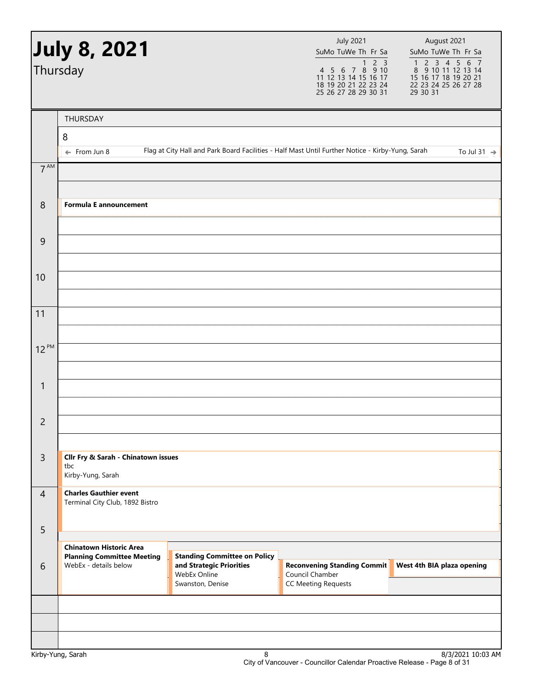|                | July 8, 2021<br>Thursday                                         |                                                                                                     | <b>July 2021</b><br>SuMo TuWe Th Fr Sa<br>4 5 6 7 8 9 10<br>11 12 13 14 15 16 17<br>18 19 20 21 22 23 24<br>25 26 27 28 29 30 31 | August 2021<br>SuMo TuWe Th Fr Sa<br>1 2 3 4 5 6 7<br>8 9 10 11 12 13 14<br>15 16 17 18 19 20 21<br>22 23 24 25 26 27 28<br>29 30 31 |
|----------------|------------------------------------------------------------------|-----------------------------------------------------------------------------------------------------|----------------------------------------------------------------------------------------------------------------------------------|--------------------------------------------------------------------------------------------------------------------------------------|
|                | THURSDAY                                                         |                                                                                                     |                                                                                                                                  |                                                                                                                                      |
|                | 8                                                                |                                                                                                     |                                                                                                                                  |                                                                                                                                      |
|                | $\leftarrow$ From Jun 8                                          | Flag at City Hall and Park Board Facilities - Half Mast Until Further Notice - Kirby-Yung, Sarah    |                                                                                                                                  | To Jul 31 $\rightarrow$                                                                                                              |
| $7^{AM}$       |                                                                  |                                                                                                     |                                                                                                                                  |                                                                                                                                      |
| 8              | <b>Formula E announcement</b>                                    |                                                                                                     |                                                                                                                                  |                                                                                                                                      |
| $\overline{9}$ |                                                                  |                                                                                                     |                                                                                                                                  |                                                                                                                                      |
| 10             |                                                                  |                                                                                                     |                                                                                                                                  |                                                                                                                                      |
| 11             |                                                                  |                                                                                                     |                                                                                                                                  |                                                                                                                                      |
| $12^{PM}$      |                                                                  |                                                                                                     |                                                                                                                                  |                                                                                                                                      |
| $\mathbf{1}$   |                                                                  |                                                                                                     |                                                                                                                                  |                                                                                                                                      |
|                |                                                                  |                                                                                                     |                                                                                                                                  |                                                                                                                                      |
| $\overline{c}$ |                                                                  |                                                                                                     |                                                                                                                                  |                                                                                                                                      |
| $\overline{3}$ | Cllr Fry & Sarah - Chinatown issues<br>tbc<br>Kirby-Yung, Sarah  |                                                                                                     |                                                                                                                                  |                                                                                                                                      |
| $\overline{4}$ | <b>Charles Gauthier event</b><br>Terminal City Club, 1892 Bistro |                                                                                                     |                                                                                                                                  |                                                                                                                                      |
| 5              | <b>Chinatown Historic Area</b>                                   |                                                                                                     |                                                                                                                                  |                                                                                                                                      |
| 6              | <b>Planning Committee Meeting</b><br>WebEx - details below       | <b>Standing Committee on Policy</b><br>and Strategic Priorities<br>WebEx Online<br>Swanston, Denise | <b>Reconvening Standing Commit</b><br>Council Chamber                                                                            | West 4th BIA plaza opening                                                                                                           |
|                |                                                                  |                                                                                                     | <b>CC Meeting Requests</b>                                                                                                       |                                                                                                                                      |
|                |                                                                  |                                                                                                     |                                                                                                                                  |                                                                                                                                      |
|                |                                                                  |                                                                                                     |                                                                                                                                  |                                                                                                                                      |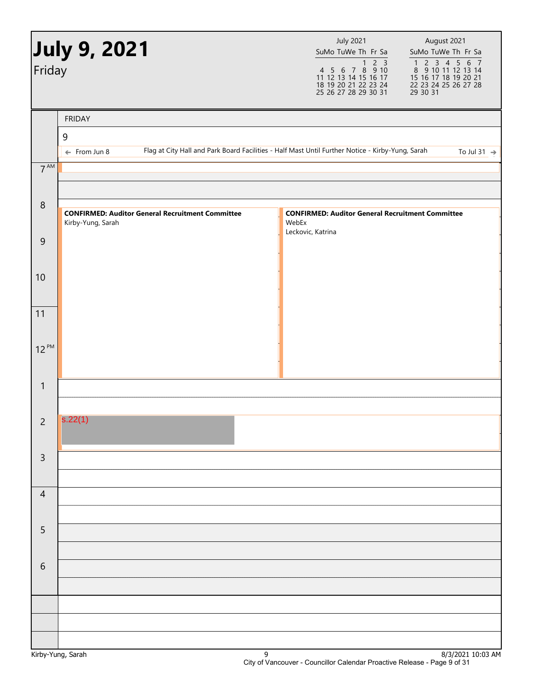|                 | July 9, 2021                                                                 | <b>July 2021</b><br>August 2021<br>SuMo TuWe Th Fr Sa<br>SuMo TuWe Th Fr Sa                                                                                                                        |
|-----------------|------------------------------------------------------------------------------|----------------------------------------------------------------------------------------------------------------------------------------------------------------------------------------------------|
| Friday          |                                                                              | 1 2 3 4 5 6 7<br>8 9 10 11 12 13 14<br>15 16 17 18 19 20 21<br>22 23 24 25 26 27 28<br>29 30 31<br>1 2 3<br>4 5 6 7 8 9 10<br>11 12 13 14 15 16 17<br>18 19 20 21 22 23 24<br>25 26 27 28 29 30 31 |
|                 | <b>FRIDAY</b>                                                                |                                                                                                                                                                                                    |
|                 | 9                                                                            |                                                                                                                                                                                                    |
|                 | $\leftarrow$ From Jun 8                                                      | Flag at City Hall and Park Board Facilities - Half Mast Until Further Notice - Kirby-Yung, Sarah<br>To Jul 31 $\rightarrow$                                                                        |
| $7^{\text{AM}}$ |                                                                              |                                                                                                                                                                                                    |
| $\,8\,$         | <b>CONFIRMED: Auditor General Recruitment Committee</b><br>Kirby-Yung, Sarah | <b>CONFIRMED: Auditor General Recruitment Committee</b><br>WebEx                                                                                                                                   |
| $\mathsf 9$     |                                                                              | Leckovic, Katrina                                                                                                                                                                                  |
| 10              |                                                                              |                                                                                                                                                                                                    |
| 11              |                                                                              |                                                                                                                                                                                                    |
| $12^{PM}$       |                                                                              |                                                                                                                                                                                                    |
| $\mathbf{1}$    |                                                                              |                                                                                                                                                                                                    |
| $\overline{2}$  | s.22(1)                                                                      |                                                                                                                                                                                                    |
| $\mathsf{3}$    |                                                                              |                                                                                                                                                                                                    |
| $\overline{4}$  |                                                                              |                                                                                                                                                                                                    |
| $\overline{5}$  |                                                                              |                                                                                                                                                                                                    |
|                 |                                                                              |                                                                                                                                                                                                    |
| $\sqrt{6}$      |                                                                              |                                                                                                                                                                                                    |
|                 |                                                                              |                                                                                                                                                                                                    |
|                 |                                                                              |                                                                                                                                                                                                    |
|                 |                                                                              |                                                                                                                                                                                                    |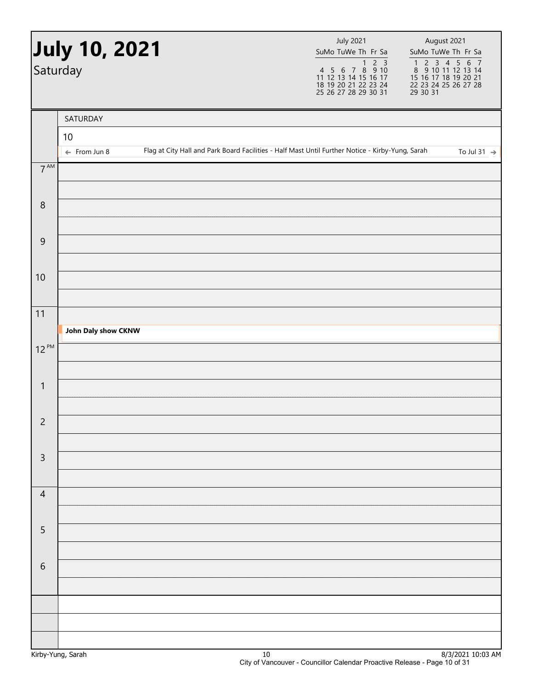| Saturday        | <b>July 10, 2021</b>    |                                                                                                  | <b>July 2021</b><br>SuMo TuWe Th Fr Sa | August 2021<br>SuMo TuWe Th Fr Sa<br>1 2 3 4 5 6 7<br>8 9 10 11 12 13 14<br>15 16 17 18 19 20 21<br>22 23 24 25 26 27 28<br>29 30 31 |                         |
|-----------------|-------------------------|--------------------------------------------------------------------------------------------------|----------------------------------------|--------------------------------------------------------------------------------------------------------------------------------------|-------------------------|
|                 | SATURDAY<br>10          |                                                                                                  |                                        |                                                                                                                                      |                         |
|                 | $\leftarrow$ From Jun 8 | Flag at City Hall and Park Board Facilities - Half Mast Until Further Notice - Kirby-Yung, Sarah |                                        |                                                                                                                                      | To Jul 31 $\rightarrow$ |
| $7^{\text{AM}}$ |                         |                                                                                                  |                                        |                                                                                                                                      |                         |
| $\, 8$          |                         |                                                                                                  |                                        |                                                                                                                                      |                         |
| $\mathsf 9$     |                         |                                                                                                  |                                        |                                                                                                                                      |                         |
| 10              |                         |                                                                                                  |                                        |                                                                                                                                      |                         |
| 11              |                         |                                                                                                  |                                        |                                                                                                                                      |                         |
| $12^{PM}$       | John Daly show CKNW     |                                                                                                  |                                        |                                                                                                                                      |                         |
|                 |                         |                                                                                                  |                                        |                                                                                                                                      |                         |
| $\mathbf{1}$    |                         |                                                                                                  |                                        |                                                                                                                                      |                         |
| $\overline{2}$  |                         |                                                                                                  |                                        |                                                                                                                                      |                         |
|                 |                         |                                                                                                  |                                        |                                                                                                                                      |                         |
| $\mathsf{3}$    |                         |                                                                                                  |                                        |                                                                                                                                      |                         |
| $\overline{4}$  |                         |                                                                                                  |                                        |                                                                                                                                      |                         |
| $\sqrt{5}$      |                         |                                                                                                  |                                        |                                                                                                                                      |                         |
|                 |                         |                                                                                                  |                                        |                                                                                                                                      |                         |
| $\sqrt{6}$      |                         |                                                                                                  |                                        |                                                                                                                                      |                         |
|                 |                         |                                                                                                  |                                        |                                                                                                                                      |                         |
|                 |                         |                                                                                                  |                                        |                                                                                                                                      |                         |
|                 |                         |                                                                                                  |                                        |                                                                                                                                      |                         |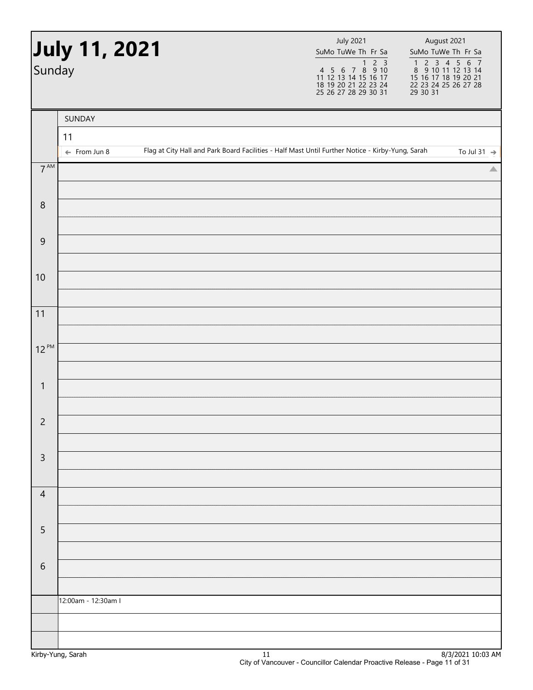| Sunday          | July 11, 2021           |                                                                                                  | <b>July 2021</b><br>SuMo TuWe Th Fr Sa | August 2021<br>SuMo TuWe Th Fr Sa<br>1 2 3 4 5 6 7<br>8 9 10 11 12 13 14<br>15 16 17 18 19 20 21<br>22 23 24 25 26 27 28<br>29 30 31 |                         |
|-----------------|-------------------------|--------------------------------------------------------------------------------------------------|----------------------------------------|--------------------------------------------------------------------------------------------------------------------------------------|-------------------------|
|                 | SUNDAY<br>11            |                                                                                                  |                                        |                                                                                                                                      |                         |
|                 | $\leftarrow$ From Jun 8 | Flag at City Hall and Park Board Facilities - Half Mast Until Further Notice - Kirby-Yung, Sarah |                                        |                                                                                                                                      | To Jul 31 $\rightarrow$ |
| $7^{\text{AM}}$ |                         |                                                                                                  |                                        |                                                                                                                                      | △                       |
| $\,8\,$         |                         |                                                                                                  |                                        |                                                                                                                                      |                         |
| $\overline{9}$  |                         |                                                                                                  |                                        |                                                                                                                                      |                         |
| 10              |                         |                                                                                                  |                                        |                                                                                                                                      |                         |
| 11              |                         |                                                                                                  |                                        |                                                                                                                                      |                         |
| $12^{PM}$       |                         |                                                                                                  |                                        |                                                                                                                                      |                         |
| $\mathbf{1}$    |                         |                                                                                                  |                                        |                                                                                                                                      |                         |
| $\overline{c}$  |                         |                                                                                                  |                                        |                                                                                                                                      |                         |
| $\mathsf{3}$    |                         |                                                                                                  |                                        |                                                                                                                                      |                         |
| $\overline{4}$  |                         |                                                                                                  |                                        |                                                                                                                                      |                         |
|                 |                         |                                                                                                  |                                        |                                                                                                                                      |                         |
| 5               |                         |                                                                                                  |                                        |                                                                                                                                      |                         |
| $\sqrt{6}$      |                         |                                                                                                  |                                        |                                                                                                                                      |                         |
|                 | 12:00am - 12:30am I     |                                                                                                  |                                        |                                                                                                                                      |                         |
|                 |                         |                                                                                                  |                                        |                                                                                                                                      |                         |
|                 |                         |                                                                                                  |                                        |                                                                                                                                      |                         |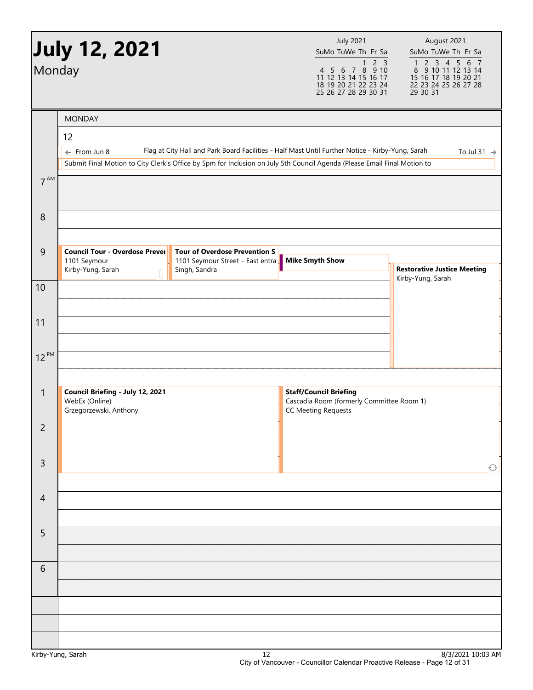| Monday          | <b>MONDAY</b>                                                                                                                                                                                                                                                 | 4 5 6 7 8 9 10<br>11 12 13 14 15 16 17<br>18 19 20 21 22 23 24<br>25 26 27 28 29 30 31                   | $\begin{array}{cccccc}\n1 & 2 & 3 & 4 & 5 & 6 & 7 \\ 8 & 9 & 10 & 11 & 12 & 13 & 14\n\end{array}$<br>15 16 17 18 19 20 21<br>22 23 24 25 26 27 28<br>29 30 31 |
|-----------------|---------------------------------------------------------------------------------------------------------------------------------------------------------------------------------------------------------------------------------------------------------------|----------------------------------------------------------------------------------------------------------|---------------------------------------------------------------------------------------------------------------------------------------------------------------|
|                 |                                                                                                                                                                                                                                                               |                                                                                                          |                                                                                                                                                               |
|                 |                                                                                                                                                                                                                                                               |                                                                                                          |                                                                                                                                                               |
|                 | 12<br>Flag at City Hall and Park Board Facilities - Half Mast Until Further Notice - Kirby-Yung, Sarah<br>$\leftarrow$ From Jun 8<br>Submit Final Motion to City Clerk's Office by 5pm for Inclusion on July 5th Council Agenda (Please Email Final Motion to |                                                                                                          | To Jul 31 $\rightarrow$                                                                                                                                       |
| 7 <sup>AM</sup> |                                                                                                                                                                                                                                                               |                                                                                                          |                                                                                                                                                               |
| 8               |                                                                                                                                                                                                                                                               |                                                                                                          |                                                                                                                                                               |
| $\overline{9}$  | <b>Council Tour - Overdose Prever</b><br><b>Tour of Overdose Prevention S</b><br>1101 Seymour<br>1101 Seymour Street - East entra<br>Kirby-Yung, Sarah<br>Singh, Sandra                                                                                       | <b>Mike Smyth Show</b>                                                                                   | <b>Restorative Justice Meeting</b><br>Kirby-Yung, Sarah                                                                                                       |
| 10              |                                                                                                                                                                                                                                                               |                                                                                                          |                                                                                                                                                               |
| 11              |                                                                                                                                                                                                                                                               |                                                                                                          |                                                                                                                                                               |
| $12^{PM}$       |                                                                                                                                                                                                                                                               |                                                                                                          |                                                                                                                                                               |
| $\mathbf{1}$    | Council Briefing - July 12, 2021<br>WebEx (Online)<br>Grzegorzewski, Anthony                                                                                                                                                                                  | <b>Staff/Council Briefing</b><br>Cascadia Room (formerly Committee Room 1)<br><b>CC Meeting Requests</b> |                                                                                                                                                               |
| $\overline{c}$  |                                                                                                                                                                                                                                                               |                                                                                                          |                                                                                                                                                               |
| 3               |                                                                                                                                                                                                                                                               |                                                                                                          | $\bigcirc$                                                                                                                                                    |
| $\overline{4}$  |                                                                                                                                                                                                                                                               |                                                                                                          |                                                                                                                                                               |
| 5               |                                                                                                                                                                                                                                                               |                                                                                                          |                                                                                                                                                               |
| 6               |                                                                                                                                                                                                                                                               |                                                                                                          |                                                                                                                                                               |
|                 |                                                                                                                                                                                                                                                               |                                                                                                          |                                                                                                                                                               |
|                 |                                                                                                                                                                                                                                                               |                                                                                                          |                                                                                                                                                               |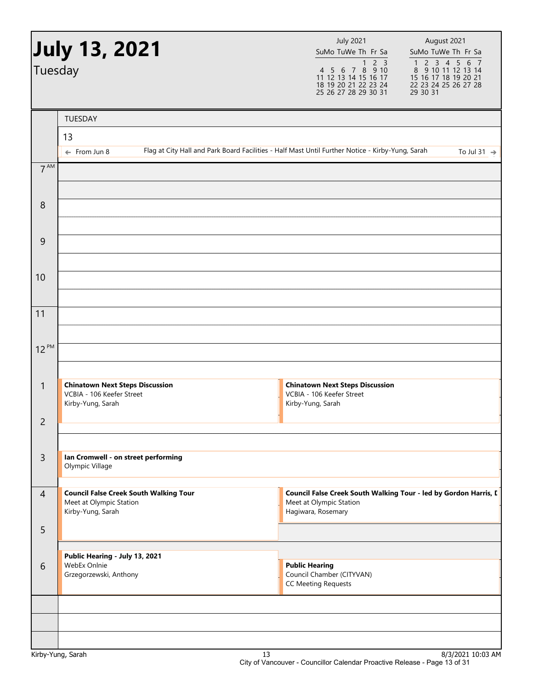|                 | <b>July 13, 2021</b>                                                                          | <b>July 2021</b><br>SuMo TuWe Th Fr Sa                                                                                   | August 2021<br>SuMo TuWe Th Fr Sa                                                                               |
|-----------------|-----------------------------------------------------------------------------------------------|--------------------------------------------------------------------------------------------------------------------------|-----------------------------------------------------------------------------------------------------------------|
| Tuesday         |                                                                                               | 2 <sub>3</sub><br>$\mathbf{1}$<br>4 5 6 7 8 9 10<br>11 12 13 14 15 16 17<br>18 19 20 21 22 23 24<br>25 26 27 28 29 30 31 | 1 2 3 4 5 6<br>$\overline{7}$<br>8 9 10 11 12 13 14<br>15 16 17 18 19 20 21<br>22 23 24 25 26 27 28<br>29 30 31 |
|                 | TUESDAY                                                                                       |                                                                                                                          |                                                                                                                 |
|                 | 13                                                                                            |                                                                                                                          |                                                                                                                 |
|                 | $\leftarrow$ From Jun 8                                                                       | Flag at City Hall and Park Board Facilities - Half Mast Until Further Notice - Kirby-Yung, Sarah                         | To Jul 31 $\rightarrow$                                                                                         |
| 7 <sup>AM</sup> |                                                                                               |                                                                                                                          |                                                                                                                 |
| 8               |                                                                                               |                                                                                                                          |                                                                                                                 |
| 9               |                                                                                               |                                                                                                                          |                                                                                                                 |
| 10              |                                                                                               |                                                                                                                          |                                                                                                                 |
| 11              |                                                                                               |                                                                                                                          |                                                                                                                 |
| $12^{PM}$       |                                                                                               |                                                                                                                          |                                                                                                                 |
| 1               | <b>Chinatown Next Steps Discussion</b><br>VCBIA - 106 Keefer Street<br>Kirby-Yung, Sarah      | <b>Chinatown Next Steps Discussion</b><br>VCBIA - 106 Keefer Street<br>Kirby-Yung, Sarah                                 |                                                                                                                 |
| $\overline{c}$  |                                                                                               |                                                                                                                          |                                                                                                                 |
|                 |                                                                                               |                                                                                                                          |                                                                                                                 |
| 3               | Ian Cromwell - on street performing<br>Olympic Village                                        |                                                                                                                          |                                                                                                                 |
| $\overline{4}$  | <b>Council False Creek South Walking Tour</b><br>Meet at Olympic Station<br>Kirby-Yung, Sarah | Council False Creek South Walking Tour - led by Gordon Harris, L<br>Meet at Olympic Station<br>Hagiwara, Rosemary        |                                                                                                                 |
| 5               |                                                                                               |                                                                                                                          |                                                                                                                 |
| 6               | Public Hearing - July 13, 2021<br>WebEx Onlnie<br>Grzegorzewski, Anthony                      | <b>Public Hearing</b><br>Council Chamber (CITYVAN)<br><b>CC Meeting Requests</b>                                         |                                                                                                                 |
|                 |                                                                                               |                                                                                                                          |                                                                                                                 |
|                 |                                                                                               |                                                                                                                          |                                                                                                                 |
|                 |                                                                                               |                                                                                                                          |                                                                                                                 |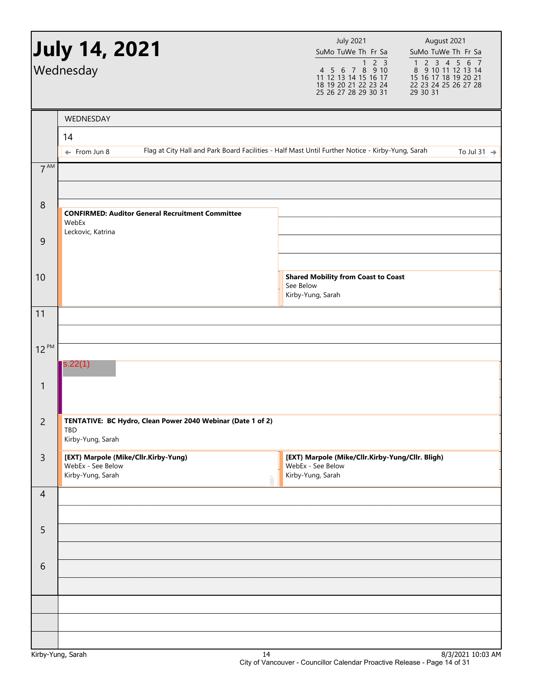|                 | <b>July 14, 2021</b>                                                                                                        | <b>July 2021</b><br>SuMo TuWe Th Fr Sa                                                                        | August 2021<br>SuMo TuWe Th Fr Sa                                                                                                                             |
|-----------------|-----------------------------------------------------------------------------------------------------------------------------|---------------------------------------------------------------------------------------------------------------|---------------------------------------------------------------------------------------------------------------------------------------------------------------|
|                 | Wednesday                                                                                                                   | 2 <sub>3</sub><br>1<br>4 5 6 7 8 9 10<br>11 12 13 14 15 16 17<br>18 19 20 21 22 23 24<br>25 26 27 28 29 30 31 | $\begin{array}{cccccc}\n1 & 2 & 3 & 4 & 5 & 6 & 7 \\ 8 & 9 & 10 & 11 & 12 & 13 & 14\n\end{array}$<br>15 16 17 18 19 20 21<br>22 23 24 25 26 27 28<br>29 30 31 |
|                 | WEDNESDAY                                                                                                                   |                                                                                                               |                                                                                                                                                               |
|                 | 14                                                                                                                          |                                                                                                               |                                                                                                                                                               |
|                 | Flag at City Hall and Park Board Facilities - Half Mast Until Further Notice - Kirby-Yung, Sarah<br>$\leftarrow$ From Jun 8 |                                                                                                               | To Jul 31 $\rightarrow$                                                                                                                                       |
| 7 <sup>AM</sup> |                                                                                                                             |                                                                                                               |                                                                                                                                                               |
| $\, 8$          | <b>CONFIRMED: Auditor General Recruitment Committee</b><br>WebEx<br>Leckovic, Katrina                                       |                                                                                                               |                                                                                                                                                               |
| $\mathsf 9$     |                                                                                                                             |                                                                                                               |                                                                                                                                                               |
| 10              |                                                                                                                             | <b>Shared Mobility from Coast to Coast</b><br>See Below<br>Kirby-Yung, Sarah                                  |                                                                                                                                                               |
| 11              |                                                                                                                             |                                                                                                               |                                                                                                                                                               |
|                 |                                                                                                                             |                                                                                                               |                                                                                                                                                               |
| $12^{PM}$       |                                                                                                                             |                                                                                                               |                                                                                                                                                               |
|                 | s.22(1)                                                                                                                     |                                                                                                               |                                                                                                                                                               |
| 1               |                                                                                                                             |                                                                                                               |                                                                                                                                                               |
| $\overline{c}$  | TENTATIVE: BC Hydro, Clean Power 2040 Webinar (Date 1 of 2)<br>TBD<br>Kirby-Yung, Sarah                                     |                                                                                                               |                                                                                                                                                               |
| $\mathsf{3}$    | [EXT} Marpole (Mike/Cllr.Kirby-Yung)<br>WebEx - See Below<br>Kirby-Yung, Sarah                                              | [EXT} Marpole (Mike/Cllr.Kirby-Yung/Cllr. Bligh)<br>WebEx - See Below<br>Kirby-Yung, Sarah                    |                                                                                                                                                               |
| $\overline{4}$  |                                                                                                                             |                                                                                                               |                                                                                                                                                               |
|                 |                                                                                                                             |                                                                                                               |                                                                                                                                                               |
| 5               |                                                                                                                             |                                                                                                               |                                                                                                                                                               |
|                 |                                                                                                                             |                                                                                                               |                                                                                                                                                               |
| 6               |                                                                                                                             |                                                                                                               |                                                                                                                                                               |
|                 |                                                                                                                             |                                                                                                               |                                                                                                                                                               |
|                 |                                                                                                                             |                                                                                                               |                                                                                                                                                               |
|                 | Kirby-Yung, Sarah<br>14                                                                                                     |                                                                                                               | 8/3/2021 10:03 AM                                                                                                                                             |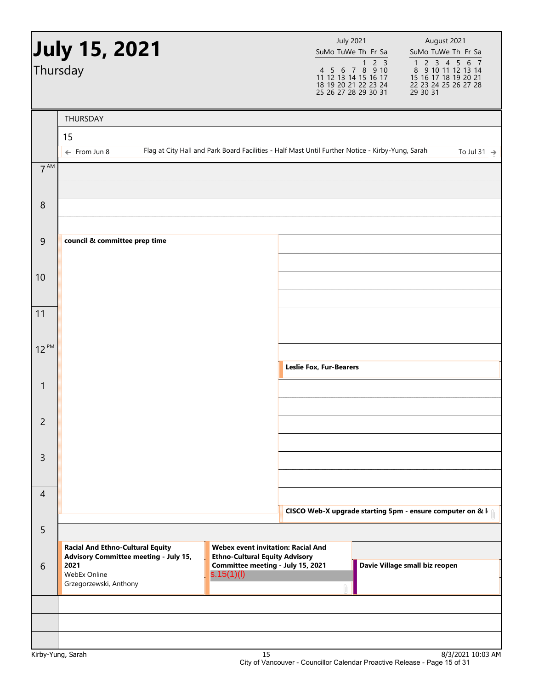|                 | <b>July 15, 2021</b><br>Thursday                                                               |                                                                                                  | <b>July 2021</b><br>SuMo TuWe Th Fr Sa<br>$1 2 3$<br>4 5 6 7 8 9 10<br>11 12 13 14 15 16 17<br>18 19 20 21 22 23 24<br>25 26 27 28 29 30 31 | August 2021<br>SuMo TuWe Th Fr Sa<br>1 2 3 4 5 6 7<br>8 9 10 11 12 13 14<br>15 16 17 18 19 20 21<br>22 23 24 25 26 27 28<br>29 30 31 |
|-----------------|------------------------------------------------------------------------------------------------|--------------------------------------------------------------------------------------------------|---------------------------------------------------------------------------------------------------------------------------------------------|--------------------------------------------------------------------------------------------------------------------------------------|
|                 | THURSDAY                                                                                       |                                                                                                  |                                                                                                                                             |                                                                                                                                      |
|                 | 15                                                                                             |                                                                                                  |                                                                                                                                             |                                                                                                                                      |
| $7^{\text{AM}}$ | $\leftarrow$ From Jun 8                                                                        | Flag at City Hall and Park Board Facilities - Half Mast Until Further Notice - Kirby-Yung, Sarah |                                                                                                                                             | To Jul 31 $\rightarrow$                                                                                                              |
|                 |                                                                                                |                                                                                                  |                                                                                                                                             |                                                                                                                                      |
| 8               |                                                                                                |                                                                                                  |                                                                                                                                             |                                                                                                                                      |
|                 |                                                                                                |                                                                                                  |                                                                                                                                             |                                                                                                                                      |
| $\overline{9}$  | council & committee prep time                                                                  |                                                                                                  |                                                                                                                                             |                                                                                                                                      |
|                 |                                                                                                |                                                                                                  |                                                                                                                                             |                                                                                                                                      |
| 10              |                                                                                                |                                                                                                  |                                                                                                                                             |                                                                                                                                      |
| 11              |                                                                                                |                                                                                                  |                                                                                                                                             |                                                                                                                                      |
|                 |                                                                                                |                                                                                                  |                                                                                                                                             |                                                                                                                                      |
| $12^{PM}$       |                                                                                                |                                                                                                  |                                                                                                                                             |                                                                                                                                      |
|                 |                                                                                                |                                                                                                  | <b>Leslie Fox, Fur-Bearers</b>                                                                                                              |                                                                                                                                      |
| $\mathbf{1}$    |                                                                                                |                                                                                                  |                                                                                                                                             |                                                                                                                                      |
| 2               |                                                                                                |                                                                                                  |                                                                                                                                             |                                                                                                                                      |
|                 |                                                                                                |                                                                                                  |                                                                                                                                             |                                                                                                                                      |
| $\overline{3}$  |                                                                                                |                                                                                                  |                                                                                                                                             |                                                                                                                                      |
|                 |                                                                                                |                                                                                                  |                                                                                                                                             |                                                                                                                                      |
| $\overline{4}$  |                                                                                                |                                                                                                  |                                                                                                                                             |                                                                                                                                      |
|                 |                                                                                                |                                                                                                  |                                                                                                                                             | CISCO Web-X upgrade starting 5pm - ensure computer on & I                                                                            |
| 5               | <b>Racial And Ethno-Cultural Equity</b>                                                        | <b>Webex event invitation: Racial And</b>                                                        |                                                                                                                                             |                                                                                                                                      |
| 6               | <b>Advisory Committee meeting - July 15,</b><br>2021<br>WebEx Online<br>Grzegorzewski, Anthony | <b>Ethno-Cultural Equity Advisory</b><br>Committee meeting - July 15, 2021<br>s.15(1)(I)         |                                                                                                                                             | Davie Village small biz reopen                                                                                                       |
|                 |                                                                                                |                                                                                                  |                                                                                                                                             |                                                                                                                                      |
|                 |                                                                                                |                                                                                                  |                                                                                                                                             |                                                                                                                                      |
|                 | Kirby-Yung, Sarah                                                                              | 15                                                                                               |                                                                                                                                             | 8/3/2021 10:03 AM                                                                                                                    |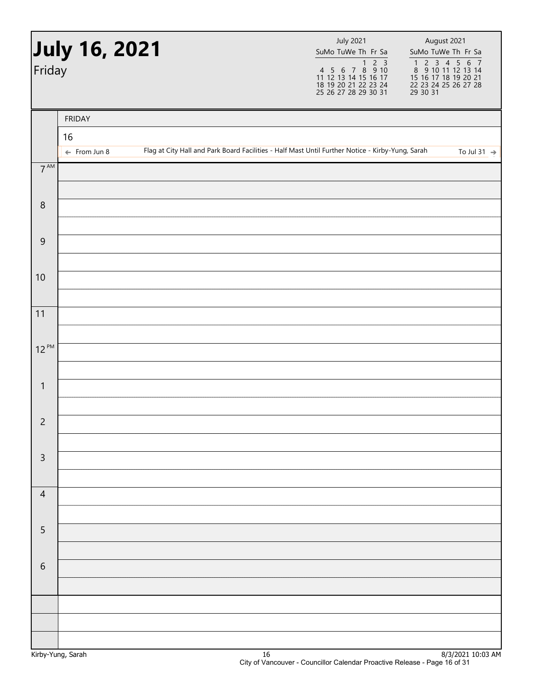| Friday          | July 16, 2021           |  | <b>July 2021</b><br>SuMo TuWe Th Fr Sa                                                           | August 2021<br>SuMo TuWe Th Fr Sa<br>1 2 3 4 5 6 7<br>8 9 10 11 12 13 14<br>15 16 17 18 19 20 21<br>22 23 24 25 26 27 28<br>29 30 31 |
|-----------------|-------------------------|--|--------------------------------------------------------------------------------------------------|--------------------------------------------------------------------------------------------------------------------------------------|
|                 | <b>FRIDAY</b>           |  |                                                                                                  |                                                                                                                                      |
|                 | 16                      |  |                                                                                                  |                                                                                                                                      |
| $7^{\text{AM}}$ | $\leftarrow$ From Jun 8 |  | Flag at City Hall and Park Board Facilities - Half Mast Until Further Notice - Kirby-Yung, Sarah | To Jul 31 $\rightarrow$                                                                                                              |
|                 |                         |  |                                                                                                  |                                                                                                                                      |
| $\, 8$          |                         |  |                                                                                                  |                                                                                                                                      |
| $\overline{9}$  |                         |  |                                                                                                  |                                                                                                                                      |
| 10              |                         |  |                                                                                                  |                                                                                                                                      |
| 11              |                         |  |                                                                                                  |                                                                                                                                      |
| $12^{PM}$       |                         |  |                                                                                                  |                                                                                                                                      |
|                 |                         |  |                                                                                                  |                                                                                                                                      |
| $\mathbf{1}$    |                         |  |                                                                                                  |                                                                                                                                      |
| $\overline{c}$  |                         |  |                                                                                                  |                                                                                                                                      |
| $\mathsf 3$     |                         |  |                                                                                                  |                                                                                                                                      |
|                 |                         |  |                                                                                                  |                                                                                                                                      |
| $\overline{4}$  |                         |  |                                                                                                  |                                                                                                                                      |
| $\overline{5}$  |                         |  |                                                                                                  |                                                                                                                                      |
|                 |                         |  |                                                                                                  |                                                                                                                                      |
| $\sqrt{6}$      |                         |  |                                                                                                  |                                                                                                                                      |
|                 |                         |  |                                                                                                  |                                                                                                                                      |
|                 |                         |  |                                                                                                  |                                                                                                                                      |
|                 |                         |  |                                                                                                  |                                                                                                                                      |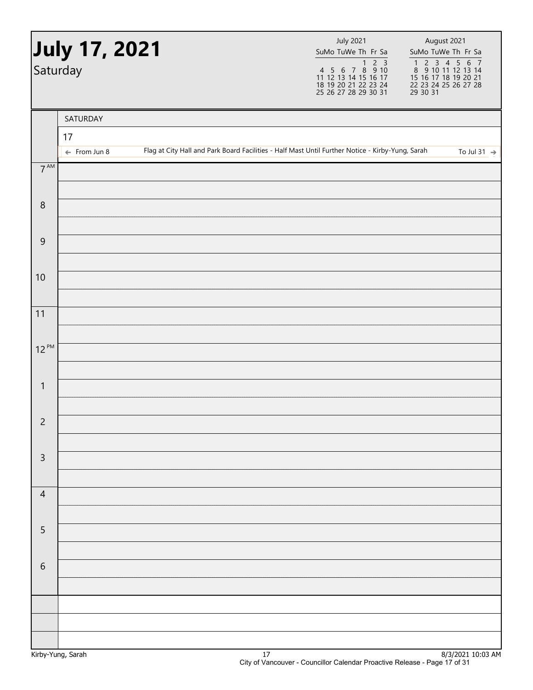|                 | <b>July 17, 2021</b><br>Saturday |                                                                                                  | <b>July 2021</b><br>SuMo TuWe Th Fr Sa |  | August 2021<br>SuMo TuWe Th Fr Sa<br>1 2 3 4 5 6 7<br>8 9 10 11 12 13 14<br>15 16 17 18 19 20 21<br>22 23 24 25 26 27 28<br>29 30 31 |
|-----------------|----------------------------------|--------------------------------------------------------------------------------------------------|----------------------------------------|--|--------------------------------------------------------------------------------------------------------------------------------------|
|                 | SATURDAY                         |                                                                                                  |                                        |  |                                                                                                                                      |
|                 | 17                               |                                                                                                  |                                        |  |                                                                                                                                      |
|                 | $\leftarrow$ From Jun 8          | Flag at City Hall and Park Board Facilities - Half Mast Until Further Notice - Kirby-Yung, Sarah |                                        |  | To Jul 31 $\rightarrow$                                                                                                              |
| $7^{\text{AM}}$ |                                  |                                                                                                  |                                        |  |                                                                                                                                      |
| $\, 8$          |                                  |                                                                                                  |                                        |  |                                                                                                                                      |
| $\mathsf 9$     |                                  |                                                                                                  |                                        |  |                                                                                                                                      |
| 10              |                                  |                                                                                                  |                                        |  |                                                                                                                                      |
| 11              |                                  |                                                                                                  |                                        |  |                                                                                                                                      |
| $12^{PM}$       |                                  |                                                                                                  |                                        |  |                                                                                                                                      |
| $\mathbf{1}$    |                                  |                                                                                                  |                                        |  |                                                                                                                                      |
| $\overline{c}$  |                                  |                                                                                                  |                                        |  |                                                                                                                                      |
| $\mathsf 3$     |                                  |                                                                                                  |                                        |  |                                                                                                                                      |
|                 |                                  |                                                                                                  |                                        |  |                                                                                                                                      |
| $\overline{4}$  |                                  |                                                                                                  |                                        |  |                                                                                                                                      |
| $\sqrt{5}$      |                                  |                                                                                                  |                                        |  |                                                                                                                                      |
| $\sqrt{6}$      |                                  |                                                                                                  |                                        |  |                                                                                                                                      |
|                 |                                  |                                                                                                  |                                        |  |                                                                                                                                      |
|                 |                                  |                                                                                                  |                                        |  |                                                                                                                                      |
|                 |                                  |                                                                                                  |                                        |  |                                                                                                                                      |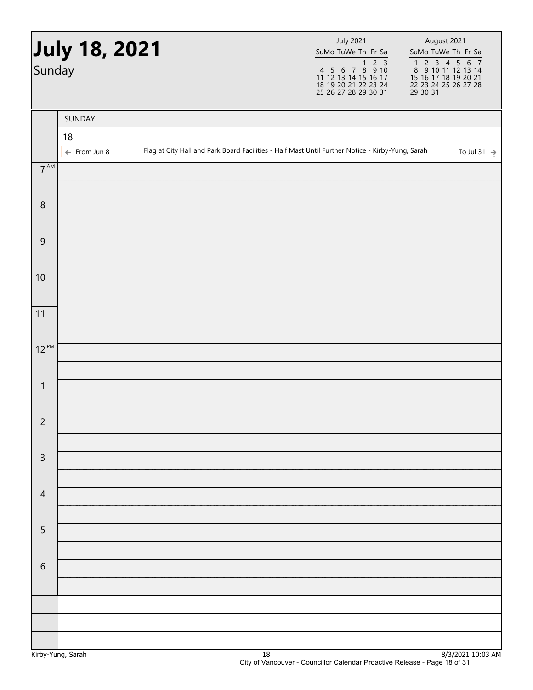| Sunday          | July 18, 2021                 |  | <b>July 2021</b><br>SuMo TuWe Th Fr Sa                                                           | August 2021<br>SuMo TuWe Th Fr Sa<br>1 2 3 4 5 6 7<br>8 9 10 11 12 13 14<br>15 16 17 18 19 20 21<br>22 23 24 25 26 27 28<br>29 30 31 |
|-----------------|-------------------------------|--|--------------------------------------------------------------------------------------------------|--------------------------------------------------------------------------------------------------------------------------------------|
|                 | SUNDAY                        |  |                                                                                                  |                                                                                                                                      |
|                 | 18<br>$\leftarrow$ From Jun 8 |  | Flag at City Hall and Park Board Facilities - Half Mast Until Further Notice - Kirby-Yung, Sarah | To Jul 31 $\rightarrow$                                                                                                              |
| $7^{\text{AM}}$ |                               |  |                                                                                                  |                                                                                                                                      |
| $\,8\,$         |                               |  |                                                                                                  |                                                                                                                                      |
| 9               |                               |  |                                                                                                  |                                                                                                                                      |
| 10              |                               |  |                                                                                                  |                                                                                                                                      |
| 11              |                               |  |                                                                                                  |                                                                                                                                      |
| $12^{PM}$       |                               |  |                                                                                                  |                                                                                                                                      |
| $\mathbf{1}$    |                               |  |                                                                                                  |                                                                                                                                      |
| $\overline{c}$  |                               |  |                                                                                                  |                                                                                                                                      |
| $\mathsf 3$     |                               |  |                                                                                                  |                                                                                                                                      |
| $\overline{4}$  |                               |  |                                                                                                  |                                                                                                                                      |
| 5               |                               |  |                                                                                                  |                                                                                                                                      |
| 6               |                               |  |                                                                                                  |                                                                                                                                      |
|                 |                               |  |                                                                                                  |                                                                                                                                      |
|                 |                               |  |                                                                                                  |                                                                                                                                      |
|                 |                               |  |                                                                                                  |                                                                                                                                      |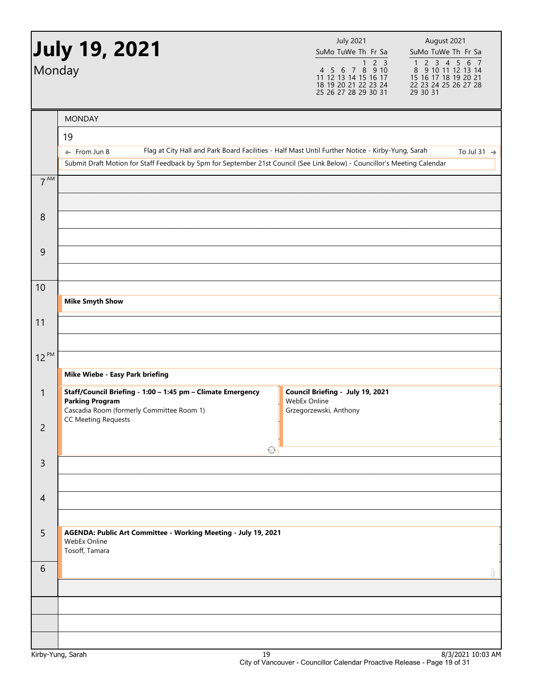|                | <b>July 19, 2021</b>                                                                                                        | <b>July 2021</b><br>SuMo TuWe Th Fr Sa                                                                                   | August 2021<br>SuMo TuWe Th Fr Sa                                                               |
|----------------|-----------------------------------------------------------------------------------------------------------------------------|--------------------------------------------------------------------------------------------------------------------------|-------------------------------------------------------------------------------------------------|
| Monday         |                                                                                                                             | 2 <sub>3</sub><br>$\mathbf{1}$<br>4 5 6 7 8 9 10<br>11 12 13 14 15 16 17<br>18 19 20 21 22 23 24<br>25 26 27 28 29 30 31 | 1 2 3 4 5 6 7<br>8 9 10 11 12 13 14<br>15 16 17 18 19 20 21<br>22 23 24 25 26 27 28<br>29 30 31 |
|                | <b>MONDAY</b>                                                                                                               |                                                                                                                          |                                                                                                 |
|                | 19                                                                                                                          |                                                                                                                          |                                                                                                 |
|                | Flag at City Hall and Park Board Facilities - Half Mast Until Further Notice - Kirby-Yung, Sarah<br>$\leftarrow$ From Jun 8 |                                                                                                                          | To Jul 31 $\rightarrow$                                                                         |
|                | Submit Draft Motion for Staff Feedback by 5pm for September 21st Council (See Link Below) - Councillor's Meeting Calendar   |                                                                                                                          |                                                                                                 |
| $7^{AM}$       |                                                                                                                             |                                                                                                                          |                                                                                                 |
|                |                                                                                                                             |                                                                                                                          |                                                                                                 |
| 8              |                                                                                                                             |                                                                                                                          |                                                                                                 |
| 9              |                                                                                                                             |                                                                                                                          |                                                                                                 |
|                |                                                                                                                             |                                                                                                                          |                                                                                                 |
| 10             |                                                                                                                             |                                                                                                                          |                                                                                                 |
|                | <b>Mike Smyth Show</b>                                                                                                      |                                                                                                                          |                                                                                                 |
| 11             |                                                                                                                             |                                                                                                                          |                                                                                                 |
|                |                                                                                                                             |                                                                                                                          |                                                                                                 |
| $12^{PM}$      |                                                                                                                             |                                                                                                                          |                                                                                                 |
|                | Mike Wiebe - Easy Park briefing                                                                                             |                                                                                                                          |                                                                                                 |
| $\mathbf{1}$   | Staff/Council Briefing - 1:00 - 1:45 pm - Climate Emergency                                                                 | Council Briefing - July 19, 2021                                                                                         |                                                                                                 |
|                | <b>Parking Program</b><br>Cascadia Room (formerly Committee Room 1)                                                         | WebEx Online<br>Grzegorzewski, Anthony                                                                                   |                                                                                                 |
| $\overline{2}$ | <b>CC Meeting Requests</b>                                                                                                  |                                                                                                                          |                                                                                                 |
|                | ۞                                                                                                                           |                                                                                                                          |                                                                                                 |
| 3              |                                                                                                                             |                                                                                                                          |                                                                                                 |
|                |                                                                                                                             |                                                                                                                          |                                                                                                 |
| $\overline{4}$ |                                                                                                                             |                                                                                                                          |                                                                                                 |
|                |                                                                                                                             |                                                                                                                          |                                                                                                 |
| 5              | AGENDA: Public Art Committee - Working Meeting - July 19, 2021<br>WebEx Online<br>Tosoff, Tamara                            |                                                                                                                          |                                                                                                 |
| 6              |                                                                                                                             |                                                                                                                          | Û                                                                                               |
|                |                                                                                                                             |                                                                                                                          |                                                                                                 |
|                |                                                                                                                             |                                                                                                                          |                                                                                                 |
|                |                                                                                                                             |                                                                                                                          |                                                                                                 |
|                |                                                                                                                             |                                                                                                                          |                                                                                                 |
|                | $\overline{10}$                                                                                                             |                                                                                                                          | 0.0202130.02                                                                                    |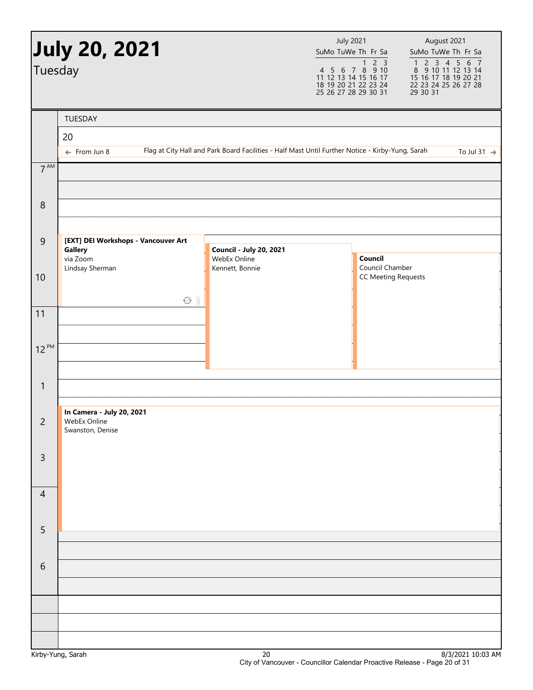| Tuesday         | <b>July 20, 2021</b>                                                          |                                                                                                  | <b>July 2021</b><br>SuMo TuWe Th Fr Sa<br>4 5 6 7 8 9 10<br>11 12 13 14 15 16 17<br>18 19 20 21 22 23 24 | August 2021<br>SuMo TuWe Th Fr Sa<br>$\begin{array}{cccccc}\n1 & 2 & 3 & 4 & 5 & 6 & 7 \\ 8 & 9 & 10 & 11 & 12 & 13 & 14\n\end{array}$<br>15 16 17 18 19 20 21<br>22 23 24 25 26 27 28 |
|-----------------|-------------------------------------------------------------------------------|--------------------------------------------------------------------------------------------------|----------------------------------------------------------------------------------------------------------|----------------------------------------------------------------------------------------------------------------------------------------------------------------------------------------|
|                 |                                                                               |                                                                                                  | 25 26 27 28 29 30 31                                                                                     | 29 30 31                                                                                                                                                                               |
|                 | TUESDAY<br>20<br>$\leftarrow$ From Jun 8                                      | Flag at City Hall and Park Board Facilities - Half Mast Until Further Notice - Kirby-Yung, Sarah |                                                                                                          | To Jul 31 $\rightarrow$                                                                                                                                                                |
| $7^{\text{AM}}$ |                                                                               |                                                                                                  |                                                                                                          |                                                                                                                                                                                        |
| 8               |                                                                               |                                                                                                  |                                                                                                          |                                                                                                                                                                                        |
| 9               | [EXT] DEI Workshops - Vancouver Art<br>Gallery<br>via Zoom<br>Lindsay Sherman | <b>Council - July 20, 2021</b><br>WebEx Online<br>Kennett, Bonnie                                | Council<br>Council Chamber                                                                               |                                                                                                                                                                                        |
| 10              | $\varnothing$ $\parallel$                                                     |                                                                                                  | <b>CC Meeting Requests</b>                                                                               |                                                                                                                                                                                        |
| 11              |                                                                               |                                                                                                  |                                                                                                          |                                                                                                                                                                                        |
| $12^{PM}$       |                                                                               |                                                                                                  |                                                                                                          |                                                                                                                                                                                        |
| 1               |                                                                               |                                                                                                  |                                                                                                          |                                                                                                                                                                                        |
| 2               | In Camera - July 20, 2021<br>WebEx Online<br>Swanston, Denise                 |                                                                                                  |                                                                                                          |                                                                                                                                                                                        |
| $\overline{3}$  |                                                                               |                                                                                                  |                                                                                                          |                                                                                                                                                                                        |
| $\overline{4}$  |                                                                               |                                                                                                  |                                                                                                          |                                                                                                                                                                                        |
| 5               |                                                                               |                                                                                                  |                                                                                                          |                                                                                                                                                                                        |
| 6               |                                                                               |                                                                                                  |                                                                                                          |                                                                                                                                                                                        |
|                 |                                                                               |                                                                                                  |                                                                                                          |                                                                                                                                                                                        |
|                 |                                                                               |                                                                                                  |                                                                                                          |                                                                                                                                                                                        |
|                 |                                                                               |                                                                                                  |                                                                                                          |                                                                                                                                                                                        |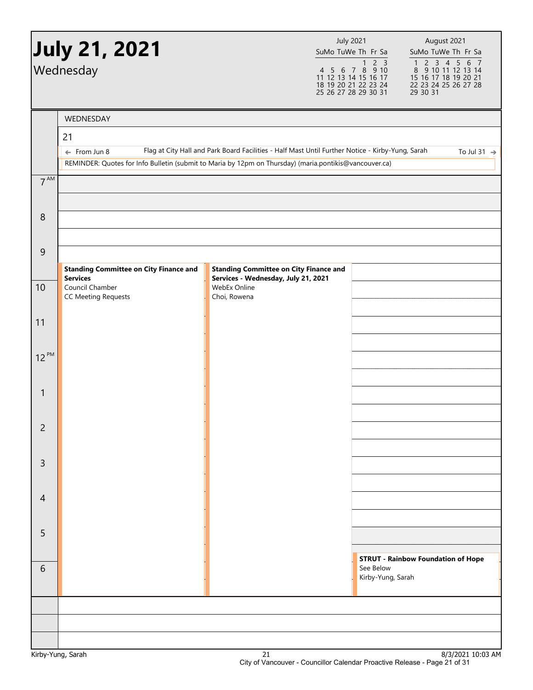|                | July 21, 2021<br>Wednesday                                                                                                        |                                                                                                  | <b>July 2021</b><br>SuMo TuWe Th Fr Sa<br>1 2 3<br>4 5 6 7 8 9 10<br>11 12 13 14 15 16 17<br>18 19 20 21 22 23 24<br>25 26 27 28 29 30 31 |                   | August 2021<br>SuMo TuWe Th Fr Sa<br>$\begin{array}{cccccc}\n1 & 2 & 3 & 4 & 5 & 6 & 7 \\ 8 & 9 & 10 & 11 & 12 & 13 & 14\n\end{array}$<br>15 16 17 18 19 20 21<br>22 23 24 25 26 27 28<br>29 30 31 |
|----------------|-----------------------------------------------------------------------------------------------------------------------------------|--------------------------------------------------------------------------------------------------|-------------------------------------------------------------------------------------------------------------------------------------------|-------------------|----------------------------------------------------------------------------------------------------------------------------------------------------------------------------------------------------|
|                | WEDNESDAY                                                                                                                         |                                                                                                  |                                                                                                                                           |                   |                                                                                                                                                                                                    |
|                | 21                                                                                                                                |                                                                                                  |                                                                                                                                           |                   |                                                                                                                                                                                                    |
|                | $\leftarrow$ From Jun 8<br>REMINDER: Quotes for Info Bulletin (submit to Maria by 12pm on Thursday) (maria.pontikis@vancouver.ca) | Flag at City Hall and Park Board Facilities - Half Mast Until Further Notice - Kirby-Yung, Sarah |                                                                                                                                           |                   | To Jul 31 $\Rightarrow$                                                                                                                                                                            |
| $7^{AM}$       |                                                                                                                                   |                                                                                                  |                                                                                                                                           |                   |                                                                                                                                                                                                    |
|                |                                                                                                                                   |                                                                                                  |                                                                                                                                           |                   |                                                                                                                                                                                                    |
| 8              |                                                                                                                                   |                                                                                                  |                                                                                                                                           |                   |                                                                                                                                                                                                    |
|                |                                                                                                                                   |                                                                                                  |                                                                                                                                           |                   |                                                                                                                                                                                                    |
| 9              |                                                                                                                                   |                                                                                                  |                                                                                                                                           |                   |                                                                                                                                                                                                    |
|                | <b>Standing Committee on City Finance and</b><br><b>Services</b>                                                                  | <b>Standing Committee on City Finance and</b><br>Services - Wednesday, July 21, 2021             |                                                                                                                                           |                   |                                                                                                                                                                                                    |
| 10             | Council Chamber<br><b>CC Meeting Requests</b>                                                                                     | WebEx Online<br>Choi, Rowena                                                                     |                                                                                                                                           |                   |                                                                                                                                                                                                    |
|                |                                                                                                                                   |                                                                                                  |                                                                                                                                           |                   |                                                                                                                                                                                                    |
| 11             |                                                                                                                                   |                                                                                                  |                                                                                                                                           |                   |                                                                                                                                                                                                    |
| $12^{PM}$      |                                                                                                                                   |                                                                                                  |                                                                                                                                           |                   |                                                                                                                                                                                                    |
|                |                                                                                                                                   |                                                                                                  |                                                                                                                                           |                   |                                                                                                                                                                                                    |
| $\mathbf{1}$   |                                                                                                                                   |                                                                                                  |                                                                                                                                           |                   |                                                                                                                                                                                                    |
|                |                                                                                                                                   |                                                                                                  |                                                                                                                                           |                   |                                                                                                                                                                                                    |
| $\overline{2}$ |                                                                                                                                   |                                                                                                  |                                                                                                                                           |                   |                                                                                                                                                                                                    |
|                |                                                                                                                                   |                                                                                                  |                                                                                                                                           |                   |                                                                                                                                                                                                    |
| $\overline{3}$ |                                                                                                                                   |                                                                                                  |                                                                                                                                           |                   |                                                                                                                                                                                                    |
| $\overline{4}$ |                                                                                                                                   |                                                                                                  |                                                                                                                                           |                   |                                                                                                                                                                                                    |
|                |                                                                                                                                   |                                                                                                  |                                                                                                                                           |                   |                                                                                                                                                                                                    |
| 5              |                                                                                                                                   |                                                                                                  |                                                                                                                                           |                   |                                                                                                                                                                                                    |
|                |                                                                                                                                   |                                                                                                  |                                                                                                                                           |                   |                                                                                                                                                                                                    |
| 6              |                                                                                                                                   |                                                                                                  |                                                                                                                                           | See Below         | <b>STRUT - Rainbow Foundation of Hope</b>                                                                                                                                                          |
|                |                                                                                                                                   |                                                                                                  |                                                                                                                                           | Kirby-Yung, Sarah |                                                                                                                                                                                                    |
|                |                                                                                                                                   |                                                                                                  |                                                                                                                                           |                   |                                                                                                                                                                                                    |
|                |                                                                                                                                   |                                                                                                  |                                                                                                                                           |                   |                                                                                                                                                                                                    |
|                |                                                                                                                                   |                                                                                                  |                                                                                                                                           |                   |                                                                                                                                                                                                    |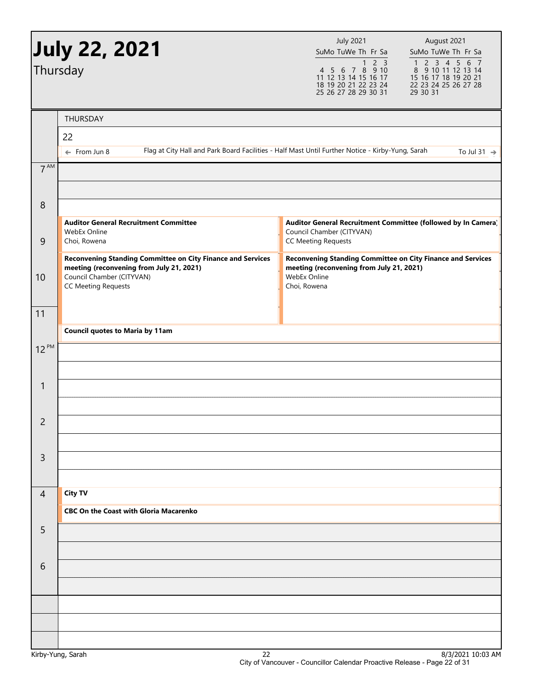|                 | <b>July 22, 2021</b>                                                                                           | <b>July 2021</b><br>August 2021<br>SuMo TuWe Th Fr Sa<br>SuMo TuWe Th Fr Sa                                                                                                                                                                             |
|-----------------|----------------------------------------------------------------------------------------------------------------|---------------------------------------------------------------------------------------------------------------------------------------------------------------------------------------------------------------------------------------------------------|
|                 | Thursday                                                                                                       | $\begin{array}{cccccc}\n1 & 2 & 3 & 4 & 5 & 6 & 7 \\ 8 & 9 & 10 & 11 & 12 & 13 & 14\n\end{array}$<br>4 5 6 7 8 9 10<br>11 12 13 14 15 16 17<br>15 16 17 18 19 20 21<br>18 19 20 21 22 23 24<br>22 23 24 25 26 27 28<br>29 30 31<br>25 26 27 28 29 30 31 |
|                 | THURSDAY                                                                                                       |                                                                                                                                                                                                                                                         |
|                 | 22                                                                                                             |                                                                                                                                                                                                                                                         |
|                 | $\leftarrow$ From Jun 8                                                                                        | Flag at City Hall and Park Board Facilities - Half Mast Until Further Notice - Kirby-Yung, Sarah<br>To Jul 31 $\rightarrow$                                                                                                                             |
| 7 <sup>AM</sup> |                                                                                                                |                                                                                                                                                                                                                                                         |
| 8               |                                                                                                                |                                                                                                                                                                                                                                                         |
| $\overline{9}$  | <b>Auditor General Recruitment Committee</b><br>WebEx Online<br>Choi, Rowena                                   | Auditor General Recruitment Committee (followed by In Camera)<br>Council Chamber (CITYVAN)<br><b>CC Meeting Requests</b>                                                                                                                                |
|                 | <b>Reconvening Standing Committee on City Finance and Services</b><br>meeting (reconvening from July 21, 2021) | <b>Reconvening Standing Committee on City Finance and Services</b><br>meeting (reconvening from July 21, 2021)                                                                                                                                          |
| 10              | Council Chamber (CITYVAN)<br><b>CC Meeting Requests</b>                                                        | WebEx Online<br>Choi, Rowena                                                                                                                                                                                                                            |
| 11              |                                                                                                                |                                                                                                                                                                                                                                                         |
|                 | <b>Council quotes to Maria by 11am</b>                                                                         |                                                                                                                                                                                                                                                         |
| $12^{PM}$       |                                                                                                                |                                                                                                                                                                                                                                                         |
|                 |                                                                                                                |                                                                                                                                                                                                                                                         |
| 1               |                                                                                                                |                                                                                                                                                                                                                                                         |
|                 |                                                                                                                |                                                                                                                                                                                                                                                         |
| $\overline{2}$  |                                                                                                                |                                                                                                                                                                                                                                                         |
|                 |                                                                                                                |                                                                                                                                                                                                                                                         |
| $\overline{3}$  |                                                                                                                |                                                                                                                                                                                                                                                         |
|                 |                                                                                                                |                                                                                                                                                                                                                                                         |
| $\overline{4}$  | <b>City TV</b>                                                                                                 |                                                                                                                                                                                                                                                         |
|                 | <b>CBC On the Coast with Gloria Macarenko</b>                                                                  |                                                                                                                                                                                                                                                         |
| 5               |                                                                                                                |                                                                                                                                                                                                                                                         |
|                 |                                                                                                                |                                                                                                                                                                                                                                                         |
| 6               |                                                                                                                |                                                                                                                                                                                                                                                         |
|                 |                                                                                                                |                                                                                                                                                                                                                                                         |
|                 |                                                                                                                |                                                                                                                                                                                                                                                         |
|                 |                                                                                                                |                                                                                                                                                                                                                                                         |
|                 |                                                                                                                |                                                                                                                                                                                                                                                         |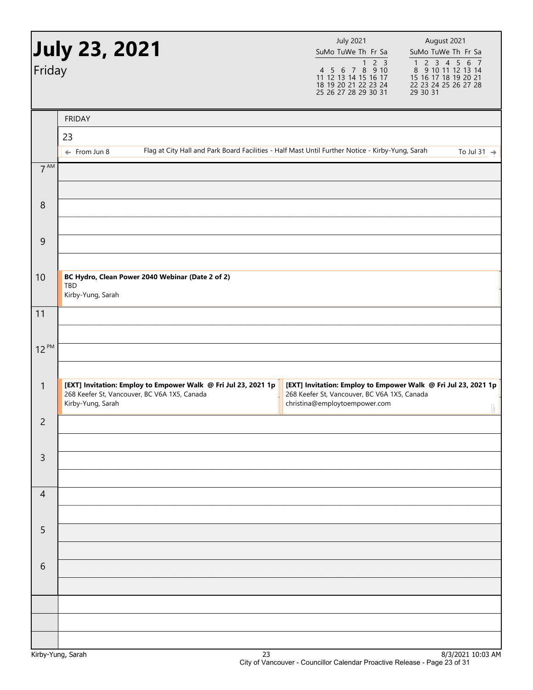|                  | <b>July 23, 2021</b>                                                                                                                | <b>July 2021</b><br>SuMo TuWe Th Fr Sa<br>2 <sub>3</sub><br>$\mathbf{1}$                                                                        | August 2021<br>SuMo TuWe Th Fr Sa                                                                                                                             |
|------------------|-------------------------------------------------------------------------------------------------------------------------------------|-------------------------------------------------------------------------------------------------------------------------------------------------|---------------------------------------------------------------------------------------------------------------------------------------------------------------|
| Friday           |                                                                                                                                     | 4 5 6 7 8 9 10<br>11 12 13 14 15 16 17<br>18 19 20 21 22 23 24<br>25 26 27 28 29 30 31                                                          | $\begin{array}{cccccc}\n1 & 2 & 3 & 4 & 5 & 6 & 7 \\ 8 & 9 & 10 & 11 & 12 & 13 & 14\n\end{array}$<br>15 16 17 18 19 20 21<br>22 23 24 25 26 27 28<br>29 30 31 |
|                  | <b>FRIDAY</b>                                                                                                                       |                                                                                                                                                 |                                                                                                                                                               |
|                  | 23                                                                                                                                  |                                                                                                                                                 |                                                                                                                                                               |
|                  | Flag at City Hall and Park Board Facilities - Half Mast Until Further Notice - Kirby-Yung, Sarah<br>$\leftarrow$ From Jun 8         |                                                                                                                                                 | To Jul 31 $\rightarrow$                                                                                                                                       |
| 7 <sup>AM</sup>  |                                                                                                                                     |                                                                                                                                                 |                                                                                                                                                               |
| $\boldsymbol{8}$ |                                                                                                                                     |                                                                                                                                                 |                                                                                                                                                               |
| $\mathsf 9$      |                                                                                                                                     |                                                                                                                                                 |                                                                                                                                                               |
| 10               | BC Hydro, Clean Power 2040 Webinar (Date 2 of 2)<br>TBD<br>Kirby-Yung, Sarah                                                        |                                                                                                                                                 |                                                                                                                                                               |
| 11               |                                                                                                                                     |                                                                                                                                                 |                                                                                                                                                               |
| $12^{PM}$        |                                                                                                                                     |                                                                                                                                                 |                                                                                                                                                               |
| $\mathbf{1}$     | [EXT] Invitation: Employ to Empower Walk @ Fri Jul 23, 2021 1p<br>268 Keefer St, Vancouver, BC V6A 1X5, Canada<br>Kirby-Yung, Sarah | [EXT] Invitation: Employ to Empower Walk @ Fri Jul 23, 2021 1p<br>268 Keefer St, Vancouver, BC V6A 1X5, Canada<br>christina@employtoempower.com | Û                                                                                                                                                             |
| $\overline{2}$   |                                                                                                                                     |                                                                                                                                                 |                                                                                                                                                               |
| $\mathsf{3}$     |                                                                                                                                     |                                                                                                                                                 |                                                                                                                                                               |
| $\overline{4}$   |                                                                                                                                     |                                                                                                                                                 |                                                                                                                                                               |
| 5                |                                                                                                                                     |                                                                                                                                                 |                                                                                                                                                               |
| 6                |                                                                                                                                     |                                                                                                                                                 |                                                                                                                                                               |
|                  |                                                                                                                                     |                                                                                                                                                 |                                                                                                                                                               |
|                  |                                                                                                                                     |                                                                                                                                                 |                                                                                                                                                               |
|                  | n-                                                                                                                                  |                                                                                                                                                 | 0000110.07                                                                                                                                                    |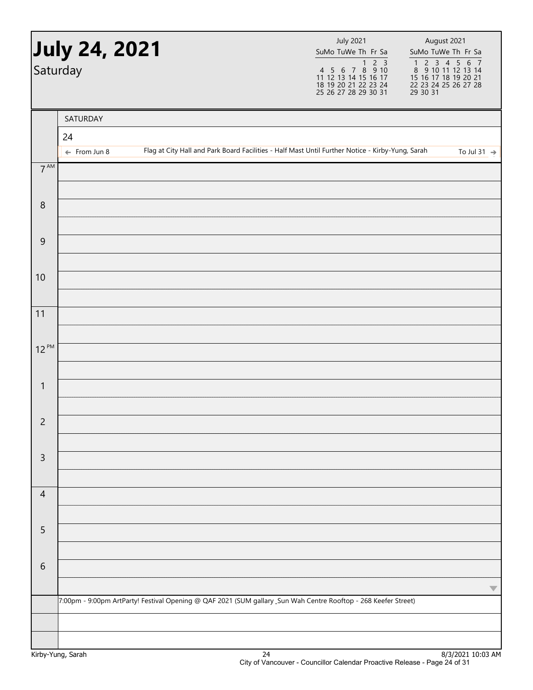|                  | July 24, 2021<br>Saturday |                                                                                                                 | <b>July 2021</b><br>SuMo TuWe Th Fr Sa                                                           | August 2021<br>SuMo TuWe Th Fr Sa<br>1 2 3 4 5 6 7<br>8 9 10 11 12 13 14<br>15 16 17 18 19 20 21<br>22 23 24 25 26 27 28<br>29 30 31 |
|------------------|---------------------------|-----------------------------------------------------------------------------------------------------------------|--------------------------------------------------------------------------------------------------|--------------------------------------------------------------------------------------------------------------------------------------|
|                  | SATURDAY                  |                                                                                                                 |                                                                                                  |                                                                                                                                      |
|                  | 24                        |                                                                                                                 |                                                                                                  |                                                                                                                                      |
|                  | $\leftarrow$ From Jun 8   |                                                                                                                 | Flag at City Hall and Park Board Facilities - Half Mast Until Further Notice - Kirby-Yung, Sarah | To Jul 31 $\rightarrow$                                                                                                              |
| $7^{\text{AM}}$  |                           |                                                                                                                 |                                                                                                  |                                                                                                                                      |
| $\,8\,$          |                           |                                                                                                                 |                                                                                                  |                                                                                                                                      |
| $\boldsymbol{9}$ |                           |                                                                                                                 |                                                                                                  |                                                                                                                                      |
| 10               |                           |                                                                                                                 |                                                                                                  |                                                                                                                                      |
| 11               |                           |                                                                                                                 |                                                                                                  |                                                                                                                                      |
| $12^{PM}$        |                           |                                                                                                                 |                                                                                                  |                                                                                                                                      |
| $\mathbf{1}$     |                           |                                                                                                                 |                                                                                                  |                                                                                                                                      |
| $\overline{c}$   |                           |                                                                                                                 |                                                                                                  |                                                                                                                                      |
| $\mathsf{3}$     |                           |                                                                                                                 |                                                                                                  |                                                                                                                                      |
| $\overline{4}$   |                           |                                                                                                                 |                                                                                                  |                                                                                                                                      |
| 5                |                           |                                                                                                                 |                                                                                                  |                                                                                                                                      |
| $\sqrt{6}$       |                           |                                                                                                                 |                                                                                                  |                                                                                                                                      |
|                  |                           | 7:00pm - 9:00pm ArtParty! Festival Opening @ QAF 2021 (SUM gallary _Sun Wah Centre Rooftop - 268 Keefer Street) |                                                                                                  | $\blacktriangledown$                                                                                                                 |
|                  |                           |                                                                                                                 |                                                                                                  |                                                                                                                                      |
|                  |                           |                                                                                                                 |                                                                                                  | 0.02021                                                                                                                              |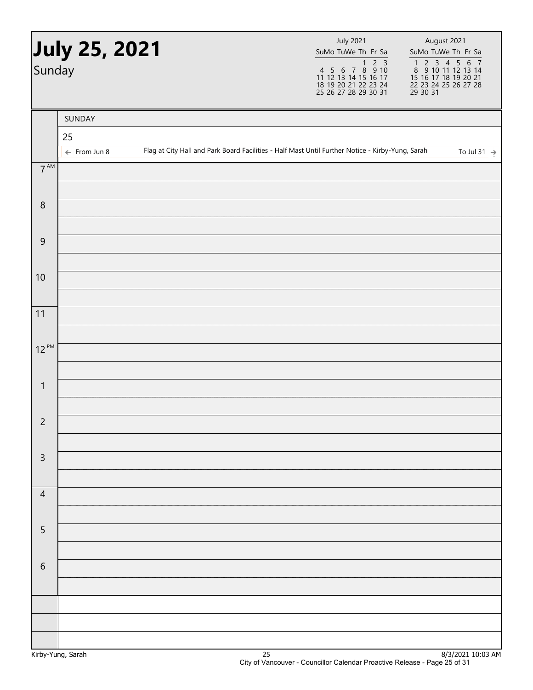| Sunday          | July 25, 2021           |  | <b>July 2021</b><br>SuMo TuWe Th Fr Sa | August 2021<br>SuMo TuWe Th Fr Sa<br>1 2 3 4 5 6 7<br>8 9 10 11 12 13 14<br>15 16 17 18 19 20 21<br>22 23 24 25 26 27 28<br>29 30 31 |                         |
|-----------------|-------------------------|--|----------------------------------------|--------------------------------------------------------------------------------------------------------------------------------------|-------------------------|
|                 | SUNDAY                  |  |                                        |                                                                                                                                      |                         |
|                 | 25                      |  |                                        |                                                                                                                                      |                         |
|                 | $\leftarrow$ From Jun 8 |  |                                        | Flag at City Hall and Park Board Facilities - Half Mast Until Further Notice - Kirby-Yung, Sarah                                     | To Jul 31 $\rightarrow$ |
| $7^{\text{AM}}$ |                         |  |                                        |                                                                                                                                      |                         |
| $\, 8$          |                         |  |                                        |                                                                                                                                      |                         |
| $\overline{9}$  |                         |  |                                        |                                                                                                                                      |                         |
| 10              |                         |  |                                        |                                                                                                                                      |                         |
| 11              |                         |  |                                        |                                                                                                                                      |                         |
| $12^{PM}$       |                         |  |                                        |                                                                                                                                      |                         |
|                 |                         |  |                                        |                                                                                                                                      |                         |
| $\mathbf{1}$    |                         |  |                                        |                                                                                                                                      |                         |
| $\overline{c}$  |                         |  |                                        |                                                                                                                                      |                         |
| $\mathsf 3$     |                         |  |                                        |                                                                                                                                      |                         |
|                 |                         |  |                                        |                                                                                                                                      |                         |
| $\overline{4}$  |                         |  |                                        |                                                                                                                                      |                         |
| $\overline{5}$  |                         |  |                                        |                                                                                                                                      |                         |
|                 |                         |  |                                        |                                                                                                                                      |                         |
| $\sqrt{6}$      |                         |  |                                        |                                                                                                                                      |                         |
|                 |                         |  |                                        |                                                                                                                                      |                         |
|                 |                         |  |                                        |                                                                                                                                      |                         |
|                 |                         |  |                                        |                                                                                                                                      |                         |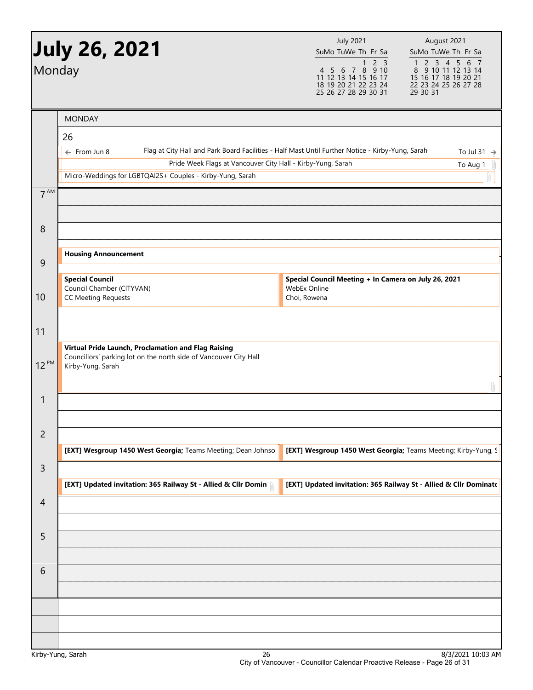|                 | July 26, 2021 <b>)</b><br>Monday                                                                                                              | <b>July 2021</b><br>August 2021<br>SuMo TuWe Th Fr Sa<br>SuMo TuWe Th Fr Sa<br>1 2 3 4 5 6 7<br>2 <sub>3</sub><br>$\mathbf{1}$<br>4 5 6 7 8 9 10<br>8 9 10 11 12 13 14<br>11 12 13 14 15 16 17<br>15 16 17 18 19 20 21<br>18 19 20 21 22 23 24<br>22 23 24 25 26 27 28<br>25 26 27 28 29 30 31<br>29 30 31 |
|-----------------|-----------------------------------------------------------------------------------------------------------------------------------------------|------------------------------------------------------------------------------------------------------------------------------------------------------------------------------------------------------------------------------------------------------------------------------------------------------------|
|                 | <b>MONDAY</b>                                                                                                                                 |                                                                                                                                                                                                                                                                                                            |
|                 | 26                                                                                                                                            |                                                                                                                                                                                                                                                                                                            |
|                 | $\leftarrow$ From Jun 8                                                                                                                       | Flag at City Hall and Park Board Facilities - Half Mast Until Further Notice - Kirby-Yung, Sarah<br>To Jul 31 $\rightarrow$                                                                                                                                                                                |
|                 | Pride Week Flags at Vancouver City Hall - Kirby-Yung, Sarah<br>Micro-Weddings for LGBTQAI2S+ Couples - Kirby-Yung, Sarah                      | To Aug 1                                                                                                                                                                                                                                                                                                   |
| 7 <sup>AM</sup> |                                                                                                                                               |                                                                                                                                                                                                                                                                                                            |
| 8               |                                                                                                                                               |                                                                                                                                                                                                                                                                                                            |
|                 | <b>Housing Announcement</b>                                                                                                                   |                                                                                                                                                                                                                                                                                                            |
| 9               | <b>Special Council</b><br>Council Chamber (CITYVAN)                                                                                           | Special Council Meeting + In Camera on July 26, 2021<br>WebEx Online                                                                                                                                                                                                                                       |
| 10              | <b>CC Meeting Requests</b>                                                                                                                    | Choi, Rowena                                                                                                                                                                                                                                                                                               |
| 11<br>$12^{PM}$ | Virtual Pride Launch, Proclamation and Flag Raising<br>Councillors' parking lot on the north side of Vancouver City Hall<br>Kirby-Yung, Sarah |                                                                                                                                                                                                                                                                                                            |
| 1               |                                                                                                                                               |                                                                                                                                                                                                                                                                                                            |
| $\overline{c}$  | [EXT] Wesgroup 1450 West Georgia; Teams Meeting; Dean Johnso                                                                                  | [EXT] Wesgroup 1450 West Georgia; Teams Meeting; Kirby-Yung, S                                                                                                                                                                                                                                             |
| 3               |                                                                                                                                               |                                                                                                                                                                                                                                                                                                            |
| $\overline{4}$  | [EXT] Updated invitation: 365 Railway St - Allied & Cllr Domin                                                                                | [EXT] Updated invitation: 365 Railway St - Allied & Cllr Dominatc                                                                                                                                                                                                                                          |
| 5               |                                                                                                                                               |                                                                                                                                                                                                                                                                                                            |
| 6               |                                                                                                                                               |                                                                                                                                                                                                                                                                                                            |
|                 |                                                                                                                                               |                                                                                                                                                                                                                                                                                                            |
|                 | Kirby-Yung, Sarah<br>26                                                                                                                       | 8/3/2021 10:03 AM                                                                                                                                                                                                                                                                                          |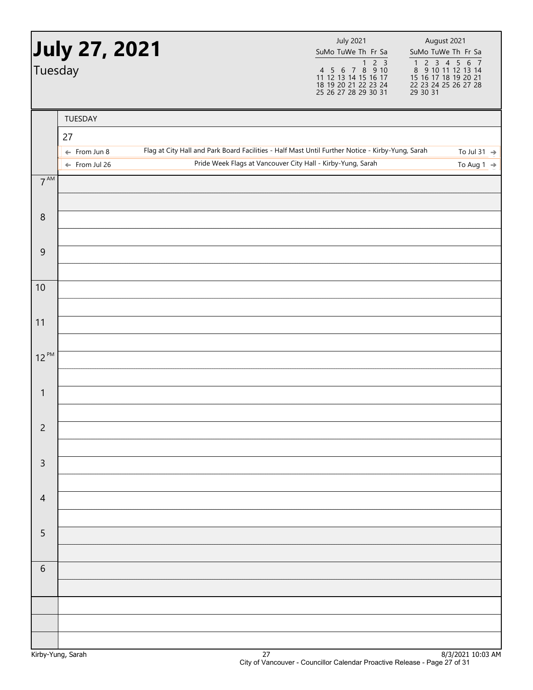| Tuesday         | <b>July 27, 2021</b>                                |                                                                                                  | <b>July 2021</b><br>SuMo TuWe Th Fr Sa<br>4 5 6 7 8 9 10<br>11 12 13 14 15 16 17<br>18 19 20 21 22 23 24<br>25 26 27 28 29 30 31 | August 2021<br>SuMo TuWe Th Fr Sa<br>$\begin{array}{cccccc}\n1 & 2 & 3 & 4 & 5 & 6 & 7 \\ 8 & 9 & 10 & 11 & 12 & 13 & 14\n\end{array}$<br>15 16 17 18 19 20 21<br>22 23 24 25 26 27 28<br>$\overline{29}$ $\overline{30}$ $\overline{31}$ |
|-----------------|-----------------------------------------------------|--------------------------------------------------------------------------------------------------|----------------------------------------------------------------------------------------------------------------------------------|-------------------------------------------------------------------------------------------------------------------------------------------------------------------------------------------------------------------------------------------|
|                 | TUESDAY                                             |                                                                                                  |                                                                                                                                  |                                                                                                                                                                                                                                           |
|                 | 27                                                  |                                                                                                  |                                                                                                                                  |                                                                                                                                                                                                                                           |
|                 | $\leftarrow$ From Jun 8<br>$\leftarrow$ From Jul 26 | Flag at City Hall and Park Board Facilities - Half Mast Until Further Notice - Kirby-Yung, Sarah | Pride Week Flags at Vancouver City Hall - Kirby-Yung, Sarah                                                                      | To Jul 31 $\rightarrow$<br>To Aug 1 $\Rightarrow$                                                                                                                                                                                         |
| $7^{\text{AM}}$ |                                                     |                                                                                                  |                                                                                                                                  |                                                                                                                                                                                                                                           |
|                 |                                                     |                                                                                                  |                                                                                                                                  |                                                                                                                                                                                                                                           |
| $\,8\,$         |                                                     |                                                                                                  |                                                                                                                                  |                                                                                                                                                                                                                                           |
|                 |                                                     |                                                                                                  |                                                                                                                                  |                                                                                                                                                                                                                                           |
| $\overline{9}$  |                                                     |                                                                                                  |                                                                                                                                  |                                                                                                                                                                                                                                           |
| 10              |                                                     |                                                                                                  |                                                                                                                                  |                                                                                                                                                                                                                                           |
|                 |                                                     |                                                                                                  |                                                                                                                                  |                                                                                                                                                                                                                                           |
| 11              |                                                     |                                                                                                  |                                                                                                                                  |                                                                                                                                                                                                                                           |
|                 |                                                     |                                                                                                  |                                                                                                                                  |                                                                                                                                                                                                                                           |
| $12^{PM}$       |                                                     |                                                                                                  |                                                                                                                                  |                                                                                                                                                                                                                                           |
|                 |                                                     |                                                                                                  |                                                                                                                                  |                                                                                                                                                                                                                                           |
| $\mathbf{1}$    |                                                     |                                                                                                  |                                                                                                                                  |                                                                                                                                                                                                                                           |
| $\overline{c}$  |                                                     |                                                                                                  |                                                                                                                                  |                                                                                                                                                                                                                                           |
|                 |                                                     |                                                                                                  |                                                                                                                                  |                                                                                                                                                                                                                                           |
| $\mathsf 3$     |                                                     |                                                                                                  |                                                                                                                                  |                                                                                                                                                                                                                                           |
|                 |                                                     |                                                                                                  |                                                                                                                                  |                                                                                                                                                                                                                                           |
| $\overline{4}$  |                                                     |                                                                                                  |                                                                                                                                  |                                                                                                                                                                                                                                           |
|                 |                                                     |                                                                                                  |                                                                                                                                  |                                                                                                                                                                                                                                           |
| 5               |                                                     |                                                                                                  |                                                                                                                                  |                                                                                                                                                                                                                                           |
| $\sqrt{6}$      |                                                     |                                                                                                  |                                                                                                                                  |                                                                                                                                                                                                                                           |
|                 |                                                     |                                                                                                  |                                                                                                                                  |                                                                                                                                                                                                                                           |
|                 |                                                     |                                                                                                  |                                                                                                                                  |                                                                                                                                                                                                                                           |
|                 |                                                     |                                                                                                  |                                                                                                                                  |                                                                                                                                                                                                                                           |
|                 |                                                     |                                                                                                  |                                                                                                                                  |                                                                                                                                                                                                                                           |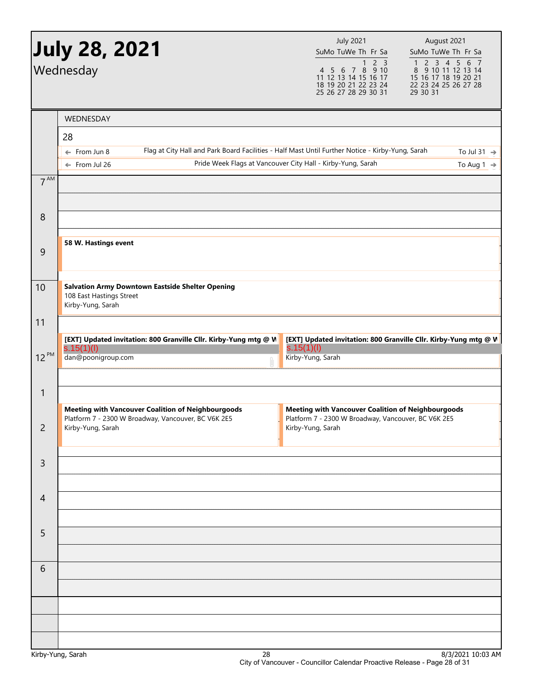|                   | <b>July 28, 2021</b><br>Wednesday                                                                                           | <b>July 2021</b><br>SuMo TuWe Th Fr Sa<br>2 <sub>3</sub><br>1<br>4 5 6 7 8 9 10<br>11 12 13 14 15 16 17<br>18 19 20 21 22 23 24<br>25 26 27 28 29 30 31 | August 2021<br>SuMo TuWe Th Fr Sa<br>1 2 3 4 5 6 7<br>8 9 10 11 12 13 14<br>15 16 17 18 19 20 21<br>22 23 24 25 26 27 28<br>29 30 31 |
|-------------------|-----------------------------------------------------------------------------------------------------------------------------|---------------------------------------------------------------------------------------------------------------------------------------------------------|--------------------------------------------------------------------------------------------------------------------------------------|
|                   | WEDNESDAY                                                                                                                   |                                                                                                                                                         |                                                                                                                                      |
|                   | 28                                                                                                                          |                                                                                                                                                         |                                                                                                                                      |
|                   | Flag at City Hall and Park Board Facilities - Half Mast Until Further Notice - Kirby-Yung, Sarah<br>$\leftarrow$ From Jun 8 |                                                                                                                                                         | To Jul 31 $\rightarrow$                                                                                                              |
|                   | $\leftarrow$ From Jul 26                                                                                                    | Pride Week Flags at Vancouver City Hall - Kirby-Yung, Sarah                                                                                             | To Aug 1 $\rightarrow$                                                                                                               |
| $7^{AM}$          |                                                                                                                             |                                                                                                                                                         |                                                                                                                                      |
|                   |                                                                                                                             |                                                                                                                                                         |                                                                                                                                      |
| 8                 |                                                                                                                             |                                                                                                                                                         |                                                                                                                                      |
| $\overline{9}$    | 58 W. Hastings event                                                                                                        |                                                                                                                                                         |                                                                                                                                      |
|                   |                                                                                                                             |                                                                                                                                                         |                                                                                                                                      |
| 10                | <b>Salvation Army Downtown Eastside Shelter Opening</b><br>108 East Hastings Street<br>Kirby-Yung, Sarah                    |                                                                                                                                                         |                                                                                                                                      |
| 11                |                                                                                                                             |                                                                                                                                                         |                                                                                                                                      |
|                   | [EXT] Updated invitation: 800 Granville Cllr. Kirby-Yung mtg @ V<br>s.15(1)(l)                                              | [EXT] Updated invitation: 800 Granville Cllr. Kirby-Yung mtg @ W<br>s.15(1)(I)                                                                          |                                                                                                                                      |
| $12^{PM}$         | dan@poonigroup.com<br>Û                                                                                                     | Kirby-Yung, Sarah                                                                                                                                       |                                                                                                                                      |
|                   |                                                                                                                             |                                                                                                                                                         |                                                                                                                                      |
| $\mathbf{1}$      |                                                                                                                             |                                                                                                                                                         |                                                                                                                                      |
|                   | <b>Meeting with Vancouver Coalition of Neighbourgoods</b><br>Platform 7 - 2300 W Broadway, Vancouver, BC V6K 2E5            | <b>Meeting with Vancouver Coalition of Neighbourgoods</b><br>Platform 7 - 2300 W Broadway, Vancouver, BC V6K 2E5                                        |                                                                                                                                      |
| $\overline{c}$    | Kirby-Yung, Sarah                                                                                                           | Kirby-Yung, Sarah                                                                                                                                       |                                                                                                                                      |
|                   |                                                                                                                             |                                                                                                                                                         |                                                                                                                                      |
| $\mathsf{3}$      |                                                                                                                             |                                                                                                                                                         |                                                                                                                                      |
|                   |                                                                                                                             |                                                                                                                                                         |                                                                                                                                      |
| $\overline{4}$    |                                                                                                                             |                                                                                                                                                         |                                                                                                                                      |
|                   |                                                                                                                             |                                                                                                                                                         |                                                                                                                                      |
| 5                 |                                                                                                                             |                                                                                                                                                         |                                                                                                                                      |
| 6                 |                                                                                                                             |                                                                                                                                                         |                                                                                                                                      |
|                   |                                                                                                                             |                                                                                                                                                         |                                                                                                                                      |
|                   |                                                                                                                             |                                                                                                                                                         |                                                                                                                                      |
|                   |                                                                                                                             |                                                                                                                                                         |                                                                                                                                      |
|                   |                                                                                                                             |                                                                                                                                                         |                                                                                                                                      |
| Kirby-Yung, Sarah | 28                                                                                                                          |                                                                                                                                                         | 8/3/2021 10:03 AM                                                                                                                    |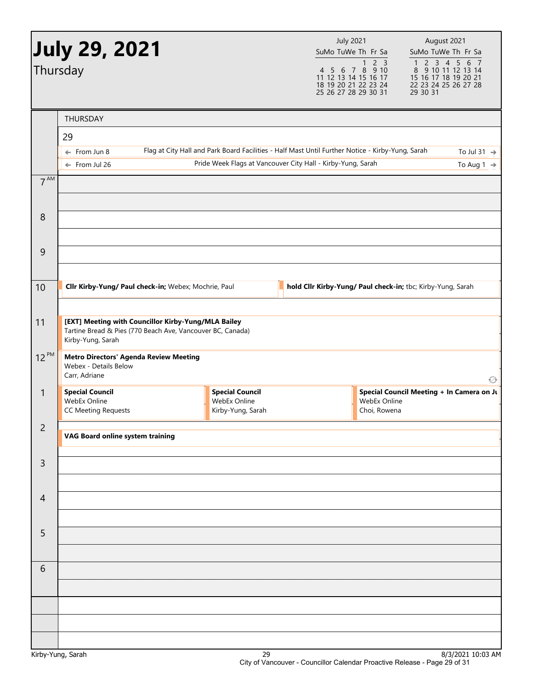|                | <b>July 29, 2021</b><br>Thursday                                                                                                       |                                                                                                  | <b>July 2021</b><br>SuMo TuWe Th Fr Sa<br>11 12 13 14 15 16 17<br>18 19 20 21 22 23 24<br>25 26 27 28 29 30 31 | $1 2 3$<br>4 5 6 7 8 9 10    | August 2021<br>SuMo TuWe Th Fr Sa<br>1 2 3 4 5 6 7<br>8 9 10 11 12 13 14<br>15 16 17 18 19 20 21<br>22 23 24 25 26 27 28<br>29 30 31 |
|----------------|----------------------------------------------------------------------------------------------------------------------------------------|--------------------------------------------------------------------------------------------------|----------------------------------------------------------------------------------------------------------------|------------------------------|--------------------------------------------------------------------------------------------------------------------------------------|
|                | <b>THURSDAY</b>                                                                                                                        |                                                                                                  |                                                                                                                |                              |                                                                                                                                      |
|                | 29                                                                                                                                     |                                                                                                  |                                                                                                                |                              |                                                                                                                                      |
|                | $\leftarrow$ From Jun 8<br>$\leftarrow$ From Jul 26                                                                                    | Flag at City Hall and Park Board Facilities - Half Mast Until Further Notice - Kirby-Yung, Sarah | Pride Week Flags at Vancouver City Hall - Kirby-Yung, Sarah                                                    |                              | To Jul 31 $\rightarrow$<br>To Aug 1 $\rightarrow$                                                                                    |
| $7^{AM}$       |                                                                                                                                        |                                                                                                  |                                                                                                                |                              |                                                                                                                                      |
| 8              |                                                                                                                                        |                                                                                                  |                                                                                                                |                              |                                                                                                                                      |
| 9              |                                                                                                                                        |                                                                                                  |                                                                                                                |                              |                                                                                                                                      |
| 10             | Cllr Kirby-Yung/ Paul check-in; Webex; Mochrie, Paul                                                                                   |                                                                                                  |                                                                                                                |                              | hold Cllr Kirby-Yung/ Paul check-in; tbc; Kirby-Yung, Sarah                                                                          |
|                |                                                                                                                                        |                                                                                                  |                                                                                                                |                              |                                                                                                                                      |
| 11             | [EXT] Meeting with Councillor Kirby-Yung/MLA Bailey<br>Tartine Bread & Pies (770 Beach Ave, Vancouver BC, Canada)<br>Kirby-Yung, Sarah |                                                                                                  |                                                                                                                |                              |                                                                                                                                      |
| $12^{PM}$      | <b>Metro Directors' Agenda Review Meeting</b><br>Webex - Details Below<br>Carr, Adriane                                                |                                                                                                  |                                                                                                                |                              | ♦                                                                                                                                    |
| $\mathbf{1}$   | <b>Special Council</b><br>WebEx Online<br><b>CC Meeting Requests</b>                                                                   | <b>Special Council</b><br>WebEx Online<br>Kirby-Yung, Sarah                                      |                                                                                                                | WebEx Online<br>Choi, Rowena | Special Council Meeting + In Camera on Ju                                                                                            |
| $\overline{c}$ | VAG Board online system training                                                                                                       |                                                                                                  |                                                                                                                |                              |                                                                                                                                      |
| 3              |                                                                                                                                        |                                                                                                  |                                                                                                                |                              |                                                                                                                                      |
| $\overline{4}$ |                                                                                                                                        |                                                                                                  |                                                                                                                |                              |                                                                                                                                      |
| 5              |                                                                                                                                        |                                                                                                  |                                                                                                                |                              |                                                                                                                                      |
|                |                                                                                                                                        |                                                                                                  |                                                                                                                |                              |                                                                                                                                      |
| 6              |                                                                                                                                        |                                                                                                  |                                                                                                                |                              |                                                                                                                                      |
|                |                                                                                                                                        |                                                                                                  |                                                                                                                |                              |                                                                                                                                      |
|                |                                                                                                                                        |                                                                                                  |                                                                                                                |                              |                                                                                                                                      |
|                | Kirby-Yung, Sarah                                                                                                                      | 29                                                                                               |                                                                                                                |                              | 8/3/2021 10:03 AM                                                                                                                    |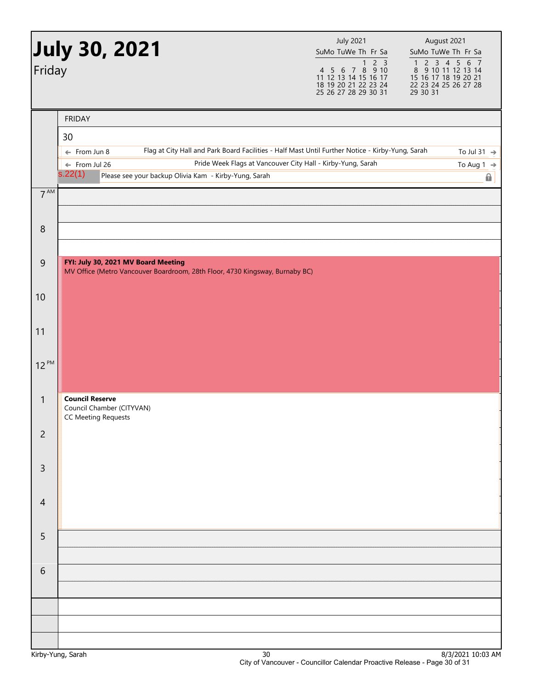| Friday           | July 30, 2021 <b>)</b>                                                                                                                                                                                                                                                                                 | <b>July 2021</b><br>SuMo TuWe Th Fr Sa<br>2 <sub>3</sub><br>$\mathbf{1}$<br>4 5 6 7 8 9 10<br>11 12 13 14 15 16 17<br>18 19 20 21 22 23 24<br>25 26 27 28 29 30 31 | August 2021<br>SuMo TuWe Th Fr Sa<br>$\begin{array}{cccccc}\n1 & 2 & 3 & 4 & 5 & 6 & 7 \\ 8 & 9 & 10 & 11 & 12 & 13 & 14\n\end{array}$<br>15 16 17 18 19 20 21<br>22 23 24 25 26 27 28<br>29 30 31 |
|------------------|--------------------------------------------------------------------------------------------------------------------------------------------------------------------------------------------------------------------------------------------------------------------------------------------------------|--------------------------------------------------------------------------------------------------------------------------------------------------------------------|----------------------------------------------------------------------------------------------------------------------------------------------------------------------------------------------------|
| $7^{\text{AM}}$  | <b>FRIDAY</b><br>30<br>Flag at City Hall and Park Board Facilities - Half Mast Until Further Notice - Kirby-Yung, Sarah<br>$\leftarrow$ From Jun 8<br>Pride Week Flags at Vancouver City Hall - Kirby-Yung, Sarah<br>← From Jul 26<br>s.22(1)<br>Please see your backup Olivia Kam - Kirby-Yung, Sarah |                                                                                                                                                                    | To Jul 31 $\rightarrow$<br>To Aug 1 $\rightarrow$<br>$\mathbf{a}$                                                                                                                                  |
| $\boldsymbol{8}$ |                                                                                                                                                                                                                                                                                                        |                                                                                                                                                                    |                                                                                                                                                                                                    |
| $\mathsf 9$      | FYI: July 30, 2021 MV Board Meeting<br>MV Office (Metro Vancouver Boardroom, 28th Floor, 4730 Kingsway, Burnaby BC)                                                                                                                                                                                    |                                                                                                                                                                    |                                                                                                                                                                                                    |
| 10               |                                                                                                                                                                                                                                                                                                        |                                                                                                                                                                    |                                                                                                                                                                                                    |
| 11               |                                                                                                                                                                                                                                                                                                        |                                                                                                                                                                    |                                                                                                                                                                                                    |
| $12^{PM}$        |                                                                                                                                                                                                                                                                                                        |                                                                                                                                                                    |                                                                                                                                                                                                    |
| $\mathbf{1}$     | <b>Council Reserve</b><br>Council Chamber (CITYVAN)<br><b>CC Meeting Requests</b>                                                                                                                                                                                                                      |                                                                                                                                                                    |                                                                                                                                                                                                    |
| $\overline{c}$   |                                                                                                                                                                                                                                                                                                        |                                                                                                                                                                    |                                                                                                                                                                                                    |
| $\mathsf{3}$     |                                                                                                                                                                                                                                                                                                        |                                                                                                                                                                    |                                                                                                                                                                                                    |
| $\overline{4}$   |                                                                                                                                                                                                                                                                                                        |                                                                                                                                                                    |                                                                                                                                                                                                    |
| 5                |                                                                                                                                                                                                                                                                                                        |                                                                                                                                                                    |                                                                                                                                                                                                    |
| $\sqrt{6}$       |                                                                                                                                                                                                                                                                                                        |                                                                                                                                                                    |                                                                                                                                                                                                    |
|                  |                                                                                                                                                                                                                                                                                                        |                                                                                                                                                                    |                                                                                                                                                                                                    |
|                  |                                                                                                                                                                                                                                                                                                        |                                                                                                                                                                    |                                                                                                                                                                                                    |